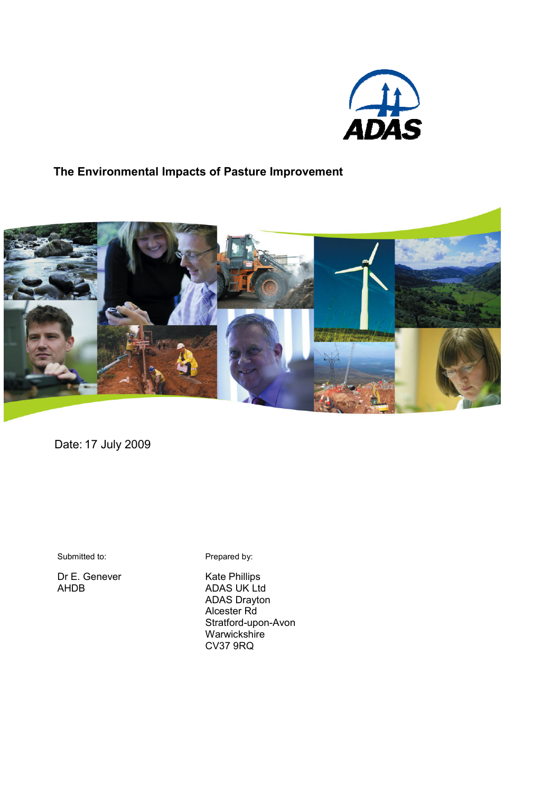

# The Environmental Impacts of Pasture Improvement



Date: 17 July 2009

Submitted to:

Dr E. Genever AHDB

Prepared by:

Kate Phillips ADAS UK Ltd ADAS Drayton Alcester Rd Stratford-upon-Avon Warwickshire CV37 9RQ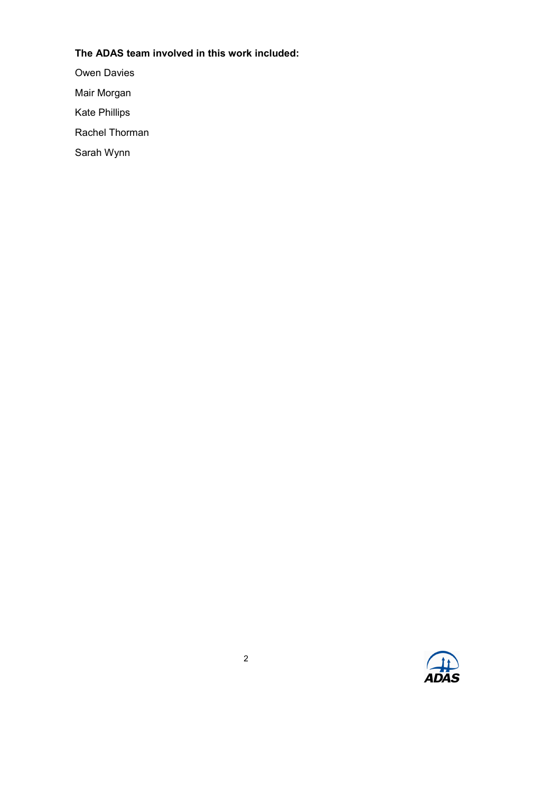# The ADAS team involved in this work included:

Owen Davies

Mair Morgan

Kate Phillips

Rachel Thorman

Sarah Wynn

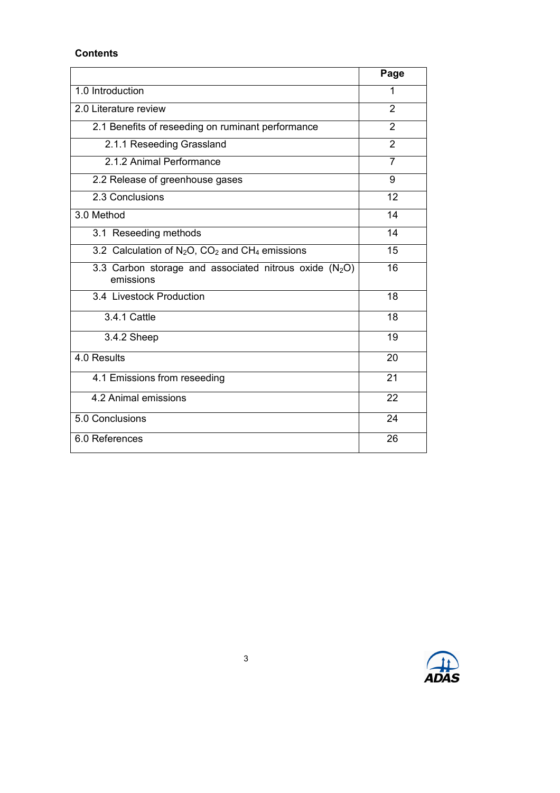### **Contents**

|                                                                       | Page           |
|-----------------------------------------------------------------------|----------------|
| 1.0 Introduction                                                      | 1              |
| 2.0 Literature review                                                 | $\mathfrak{p}$ |
| 2.1 Benefits of reseeding on ruminant performance                     | 2              |
| 2.1.1 Reseeding Grassland                                             | $\overline{2}$ |
| 2.1.2 Animal Performance                                              | $\overline{7}$ |
| 2.2 Release of greenhouse gases                                       | 9              |
| 2.3 Conclusions                                                       | 12             |
| 3.0 Method                                                            | 14             |
| 3.1 Reseeding methods                                                 | 14             |
| 3.2 Calculation of $N_2O$ , $CO_2$ and $CH_4$ emissions               | 15             |
| 3.3 Carbon storage and associated nitrous oxide $(N_2O)$<br>emissions | 16             |
| 3.4 Livestock Production                                              | 18             |
| 3.4.1 Cattle                                                          | 18             |
| 3.4.2 Sheep                                                           | 19             |
| 4.0 Results                                                           | 20             |
| 4.1 Emissions from reseeding                                          | 21             |
| 4.2 Animal emissions                                                  | 22             |
| 5.0 Conclusions                                                       | 24             |
| 6.0 References                                                        | 26             |
|                                                                       |                |

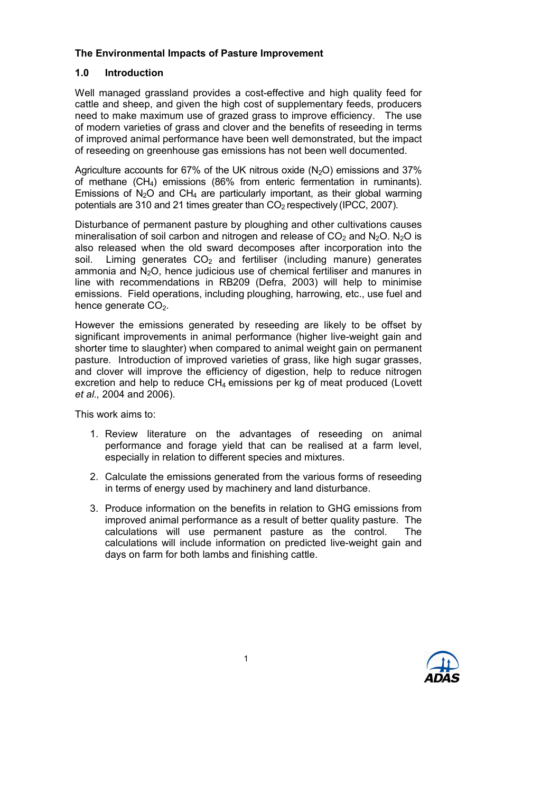# The Environmental Impacts of Pasture Improvement

# 1.0 Introduction

Well managed grassland provides a cost-effective and high quality feed for cattle and sheep, and given the high cost of supplementary feeds, producers need to make maximum use of grazed grass to improve efficiency. The use of modern varieties of grass and clover and the benefits of reseeding in terms of improved animal performance have been well demonstrated, but the impact of reseeding on greenhouse gas emissions has not been well documented.

Agriculture accounts for 67% of the UK nitrous oxide  $(N<sub>2</sub>O)$  emissions and 37% of methane (CH4) emissions (86% from enteric fermentation in ruminants). Emissions of N<sub>2</sub>O and CH<sub>4</sub> are particularly important, as their global warming potentials are 310 and 21 times greater than  $CO<sub>2</sub>$  respectively (IPCC, 2007).

Disturbance of permanent pasture by ploughing and other cultivations causes mineralisation of soil carbon and nitrogen and release of  $CO<sub>2</sub>$  and  $N<sub>2</sub>O$ . N<sub>2</sub>O is also released when the old sward decomposes after incorporation into the soil. Liming generates  $CO<sub>2</sub>$  and fertiliser (including manure) generates ammonia and  $N<sub>2</sub>O$ , hence judicious use of chemical fertiliser and manures in line with recommendations in RB209 (Defra, 2003) will help to minimise emissions. Field operations, including ploughing, harrowing, etc., use fuel and hence generate  $CO<sub>2</sub>$ .

However the emissions generated by reseeding are likely to be offset by significant improvements in animal performance (higher live-weight gain and shorter time to slaughter) when compared to animal weight gain on permanent pasture. Introduction of improved varieties of grass, like high sugar grasses, and clover will improve the efficiency of digestion, help to reduce nitrogen excretion and help to reduce  $CH<sub>4</sub>$  emissions per kg of meat produced (Lovett et al., 2004 and 2006).

This work aims to:

- 1. Review literature on the advantages of reseeding on animal performance and forage yield that can be realised at a farm level, especially in relation to different species and mixtures.
- 2. Calculate the emissions generated from the various forms of reseeding in terms of energy used by machinery and land disturbance.
- 3. Produce information on the benefits in relation to GHG emissions from improved animal performance as a result of better quality pasture. The calculations will use permanent pasture as the control. The calculations will include information on predicted live-weight gain and days on farm for both lambs and finishing cattle.

1

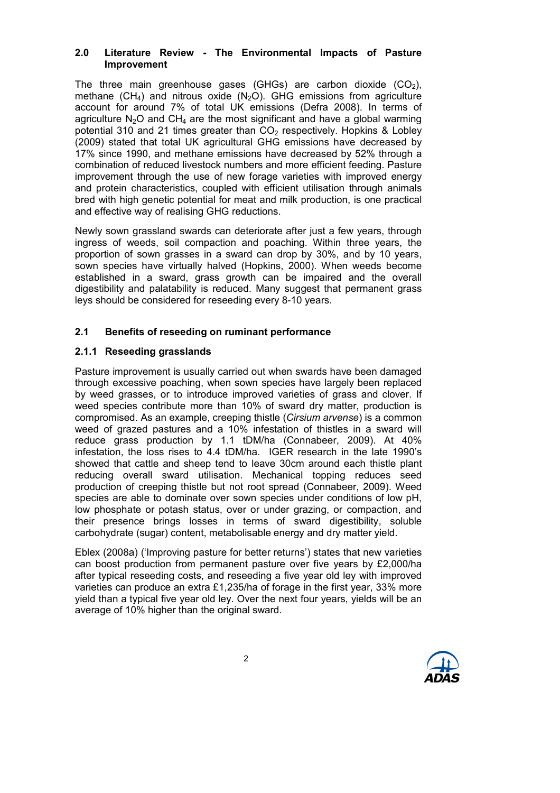### 2.0 Literature Review - The Environmental Impacts of Pasture Improvement

The three main greenhouse gases (GHGs) are carbon dioxide  $(CO<sub>2</sub>)$ , methane (CH<sub>4</sub>) and nitrous oxide (N<sub>2</sub>O). GHG emissions from agriculture account for around 7% of total UK emissions (Defra 2008). In terms of agriculture  $N_2O$  and  $CH_4$  are the most significant and have a global warming potential 310 and 21 times greater than  $CO<sub>2</sub>$  respectively. Hopkins & Lobley (2009) stated that total UK agricultural GHG emissions have decreased by 17% since 1990, and methane emissions have decreased by 52% through a combination of reduced livestock numbers and more efficient feeding. Pasture improvement through the use of new forage varieties with improved energy and protein characteristics, coupled with efficient utilisation through animals bred with high genetic potential for meat and milk production, is one practical and effective way of realising GHG reductions.

Newly sown grassland swards can deteriorate after just a few years, through ingress of weeds, soil compaction and poaching. Within three years, the proportion of sown grasses in a sward can drop by 30%, and by 10 years, sown species have virtually halved (Hopkins, 2000). When weeds become established in a sward, grass growth can be impaired and the overall digestibility and palatability is reduced. Many suggest that permanent grass leys should be considered for reseeding every 8-10 years.

# 2.1 Benefits of reseeding on ruminant performance

# 2.1.1 Reseeding grasslands

Pasture improvement is usually carried out when swards have been damaged through excessive poaching, when sown species have largely been replaced by weed grasses, or to introduce improved varieties of grass and clover. If weed species contribute more than 10% of sward dry matter, production is compromised. As an example, creeping thistle (Cirsium arvense) is a common weed of grazed pastures and a 10% infestation of thistles in a sward will reduce grass production by 1.1 tDM/ha (Connabeer, 2009). At 40% infestation, the loss rises to 4.4 tDM/ha. IGER research in the late 1990's showed that cattle and sheep tend to leave 30cm around each thistle plant reducing overall sward utilisation. Mechanical topping reduces seed production of creeping thistle but not root spread (Connabeer, 2009). Weed species are able to dominate over sown species under conditions of low pH, low phosphate or potash status, over or under grazing, or compaction, and their presence brings losses in terms of sward digestibility, soluble carbohydrate (sugar) content, metabolisable energy and dry matter yield.

Eblex (2008a) ('Improving pasture for better returns') states that new varieties can boost production from permanent pasture over five years by £2,000/ha after typical reseeding costs, and reseeding a five year old ley with improved varieties can produce an extra £1,235/ha of forage in the first year, 33% more yield than a typical five year old ley. Over the next four years, yields will be an average of 10% higher than the original sward.

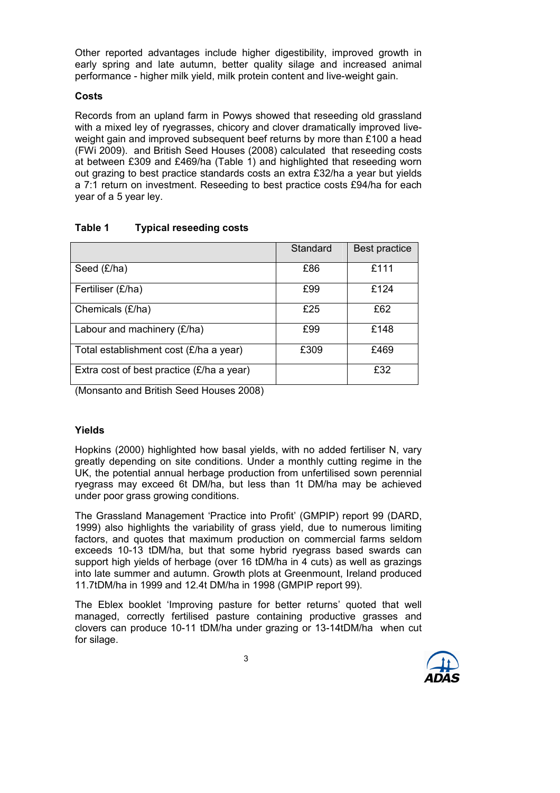Other reported advantages include higher digestibility, improved growth in early spring and late autumn, better quality silage and increased animal performance - higher milk yield, milk protein content and live-weight gain.

#### **Costs**

Records from an upland farm in Powys showed that reseeding old grassland with a mixed ley of ryegrasses, chicory and clover dramatically improved liveweight gain and improved subsequent beef returns by more than £100 a head (FWi 2009). and British Seed Houses (2008) calculated that reseeding costs at between £309 and £469/ha (Table 1) and highlighted that reseeding worn out grazing to best practice standards costs an extra £32/ha a year but yields a 7:1 return on investment. Reseeding to best practice costs £94/ha for each year of a 5 year ley.

# Table 1 Typical reseeding costs

|                                             | Standard | Best practice |
|---------------------------------------------|----------|---------------|
| Seed (£/ha)                                 | £86      | £111          |
| Fertiliser (£/ha)                           | £99      | £124          |
| Chemicals (£/ha)                            | £25      | £62           |
| Labour and machinery (£/ha)                 | £99      | £148          |
| Total establishment cost (£/ha a year)      | £309     | £469          |
| Extra cost of best practice $(E/ha a year)$ |          | £32           |

(Monsanto and British Seed Houses 2008)

# Yields

Hopkins (2000) highlighted how basal yields, with no added fertiliser N, vary greatly depending on site conditions. Under a monthly cutting regime in the UK, the potential annual herbage production from unfertilised sown perennial ryegrass may exceed 6t DM/ha, but less than 1t DM/ha may be achieved under poor grass growing conditions.

The Grassland Management 'Practice into Profit' (GMPIP) report 99 (DARD, 1999) also highlights the variability of grass yield, due to numerous limiting factors, and quotes that maximum production on commercial farms seldom exceeds 10-13 tDM/ha, but that some hybrid ryegrass based swards can support high yields of herbage (over 16 tDM/ha in 4 cuts) as well as grazings into late summer and autumn. Growth plots at Greenmount, Ireland produced 11.7tDM/ha in 1999 and 12.4t DM/ha in 1998 (GMPIP report 99).

The Eblex booklet 'Improving pasture for better returns' quoted that well managed, correctly fertilised pasture containing productive grasses and clovers can produce 10-11 tDM/ha under grazing or 13-14tDM/ha when cut for silage.

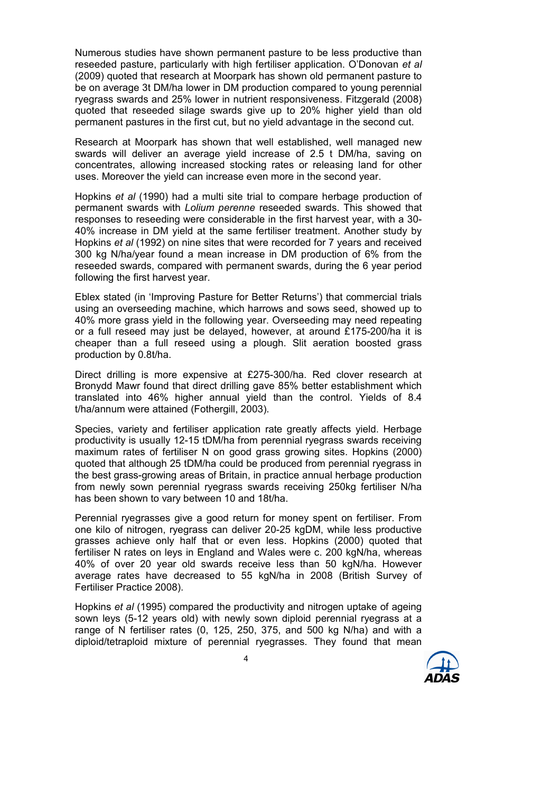Numerous studies have shown permanent pasture to be less productive than reseeded pasture, particularly with high fertiliser application. O'Donovan et al (2009) quoted that research at Moorpark has shown old permanent pasture to be on average 3t DM/ha lower in DM production compared to young perennial ryegrass swards and 25% lower in nutrient responsiveness. Fitzgerald (2008) quoted that reseeded silage swards give up to 20% higher yield than old permanent pastures in the first cut, but no yield advantage in the second cut.

Research at Moorpark has shown that well established, well managed new swards will deliver an average yield increase of 2.5 t DM/ha, saving on concentrates, allowing increased stocking rates or releasing land for other uses. Moreover the yield can increase even more in the second year.

Hopkins et al (1990) had a multi site trial to compare herbage production of permanent swards with Lolium perenne reseeded swards. This showed that responses to reseeding were considerable in the first harvest year, with a 30- 40% increase in DM yield at the same fertiliser treatment. Another study by Hopkins et al (1992) on nine sites that were recorded for 7 years and received 300 kg N/ha/year found a mean increase in DM production of 6% from the reseeded swards, compared with permanent swards, during the 6 year period following the first harvest year.

Eblex stated (in 'Improving Pasture for Better Returns') that commercial trials using an overseeding machine, which harrows and sows seed, showed up to 40% more grass yield in the following year. Overseeding may need repeating or a full reseed may just be delayed, however, at around £175-200/ha it is cheaper than a full reseed using a plough. Slit aeration boosted grass production by 0.8t/ha.

Direct drilling is more expensive at £275-300/ha. Red clover research at Bronydd Mawr found that direct drilling gave 85% better establishment which translated into 46% higher annual yield than the control. Yields of 8.4 t/ha/annum were attained (Fothergill, 2003).

Species, variety and fertiliser application rate greatly affects yield. Herbage productivity is usually 12-15 tDM/ha from perennial ryegrass swards receiving maximum rates of fertiliser N on good grass growing sites. Hopkins (2000) quoted that although 25 tDM/ha could be produced from perennial ryegrass in the best grass-growing areas of Britain, in practice annual herbage production from newly sown perennial ryegrass swards receiving 250kg fertiliser N/ha has been shown to vary between 10 and 18t/ha.

Perennial ryegrasses give a good return for money spent on fertiliser. From one kilo of nitrogen, ryegrass can deliver 20-25 kgDM, while less productive grasses achieve only half that or even less. Hopkins (2000) quoted that fertiliser N rates on leys in England and Wales were c. 200 kgN/ha, whereas 40% of over 20 year old swards receive less than 50 kgN/ha. However average rates have decreased to 55 kgN/ha in 2008 (British Survey of Fertiliser Practice 2008).

Hopkins et al (1995) compared the productivity and nitrogen uptake of ageing sown leys (5-12 years old) with newly sown diploid perennial ryegrass at a range of N fertiliser rates (0, 125, 250, 375, and 500 kg N/ha) and with a diploid/tetraploid mixture of perennial ryegrasses. They found that mean

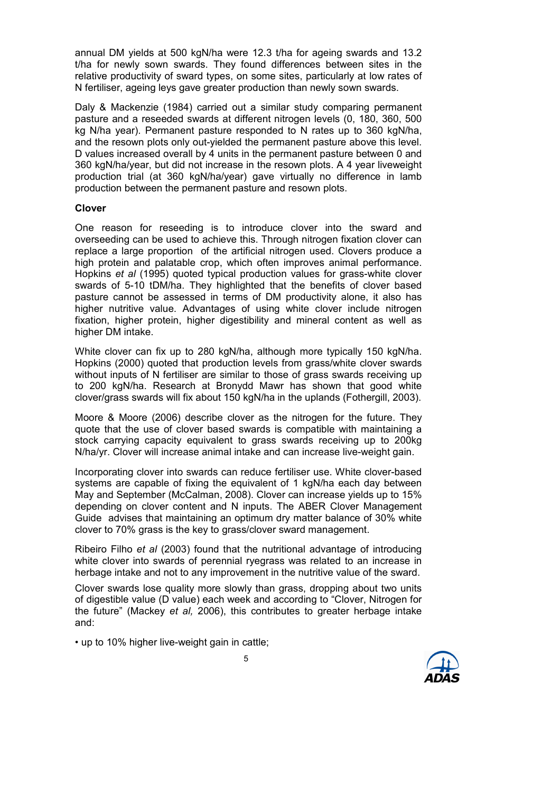annual DM yields at 500 kgN/ha were 12.3 t/ha for ageing swards and 13.2 t/ha for newly sown swards. They found differences between sites in the relative productivity of sward types, on some sites, particularly at low rates of N fertiliser, ageing leys gave greater production than newly sown swards.

Daly & Mackenzie (1984) carried out a similar study comparing permanent pasture and a reseeded swards at different nitrogen levels (0, 180, 360, 500 kg N/ha year). Permanent pasture responded to N rates up to 360 kgN/ha, and the resown plots only out-yielded the permanent pasture above this level. D values increased overall by 4 units in the permanent pasture between 0 and 360 kgN/ha/year, but did not increase in the resown plots. A 4 year liveweight production trial (at 360 kgN/ha/year) gave virtually no difference in lamb production between the permanent pasture and resown plots.

#### Clover

One reason for reseeding is to introduce clover into the sward and overseeding can be used to achieve this. Through nitrogen fixation clover can replace a large proportion of the artificial nitrogen used. Clovers produce a high protein and palatable crop, which often improves animal performance. Hopkins et al (1995) quoted typical production values for grass-white clover swards of 5-10 tDM/ha. They highlighted that the benefits of clover based pasture cannot be assessed in terms of DM productivity alone, it also has higher nutritive value. Advantages of using white clover include nitrogen fixation, higher protein, higher digestibility and mineral content as well as higher DM intake.

White clover can fix up to 280 kgN/ha, although more typically 150 kgN/ha. Hopkins (2000) quoted that production levels from grass/white clover swards without inputs of N fertiliser are similar to those of grass swards receiving up to 200 kgN/ha. Research at Bronydd Mawr has shown that good white clover/grass swards will fix about 150 kgN/ha in the uplands (Fothergill, 2003).

Moore & Moore (2006) describe clover as the nitrogen for the future. They quote that the use of clover based swards is compatible with maintaining a stock carrying capacity equivalent to grass swards receiving up to 200kg N/ha/yr. Clover will increase animal intake and can increase live-weight gain.

Incorporating clover into swards can reduce fertiliser use. White clover-based systems are capable of fixing the equivalent of 1 kgN/ha each day between May and September (McCalman, 2008). Clover can increase yields up to 15% depending on clover content and N inputs. The ABER Clover Management Guide advises that maintaining an optimum dry matter balance of 30% white clover to 70% grass is the key to grass/clover sward management.

Ribeiro Filho et al (2003) found that the nutritional advantage of introducing white clover into swards of perennial ryegrass was related to an increase in herbage intake and not to any improvement in the nutritive value of the sward.

Clover swards lose quality more slowly than grass, dropping about two units of digestible value (D value) each week and according to "Clover, Nitrogen for the future" (Mackey et al, 2006), this contributes to greater herbage intake and:

• up to 10% higher live-weight gain in cattle;

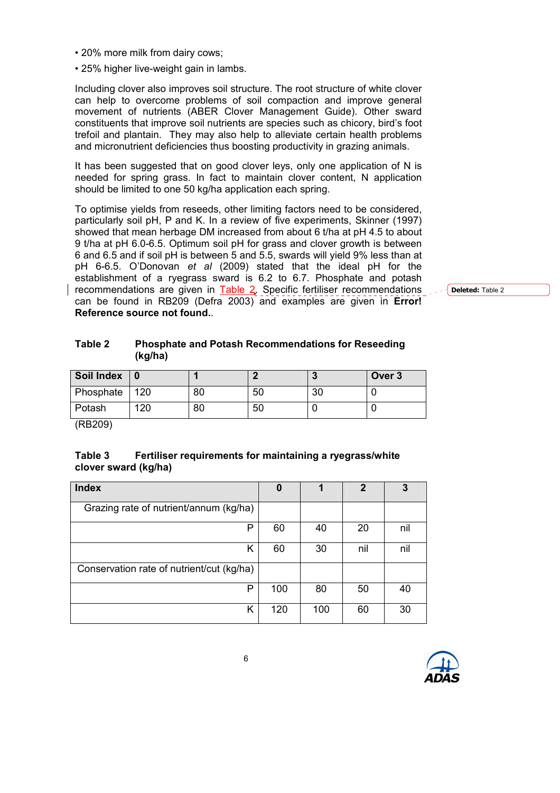• 20% more milk from dairy cows;

(kg/ha)

• 25% higher live-weight gain in lambs.

Including clover also improves soil structure. The root structure of white clover can help to overcome problems of soil compaction and improve general movement of nutrients (ABER Clover Management Guide). Other sward constituents that improve soil nutrients are species such as chicory, bird's foot trefoil and plantain. They may also help to alleviate certain health problems and micronutrient deficiencies thus boosting productivity in grazing animals.

It has been suggested that on good clover leys, only one application of N is needed for spring grass. In fact to maintain clover content, N application should be limited to one 50 kg/ha application each spring.

To optimise yields from reseeds, other limiting factors need to be considered, particularly soil pH, P and K. In a review of five experiments, Skinner (1997) showed that mean herbage DM increased from about 6 t/ha at pH 4.5 to about 9 t/ha at pH 6.0-6.5. Optimum soil pH for grass and clover growth is between 6 and 6.5 and if soil pH is between 5 and 5.5, swards will yield 9% less than at pH 6-6.5. O'Donovan et al (2009) stated that the ideal pH for the establishment of a ryegrass sward is 6.2 to 6.7. Phosphate and potash recommendations are given in Table 2. Specific fertiliser recommendations can be found in RB209 (Defra 2003) and examples are given in Error! Reference source not found..

Deleted: Table 2

| Soil Index   0   |     |    |    | Over 3 |
|------------------|-----|----|----|--------|
| <b>Phosphate</b> | 120 | 80 | 50 |        |
| Potash           | 12C | 80 | 50 |        |

Table 2 Phosphate and Potash Recommendations for Reseeding

(RB209)

### Table 3 Fertiliser requirements for maintaining a ryegrass/white clover sward (kg/ha)

| <b>Index</b>                              | 0   |     | $\mathbf{2}$ | 3   |
|-------------------------------------------|-----|-----|--------------|-----|
| Grazing rate of nutrient/annum (kg/ha)    |     |     |              |     |
| Р                                         | 60  | 40  | 20           | nil |
| Κ                                         | 60  | 30  | nil          | nil |
| Conservation rate of nutrient/cut (kg/ha) |     |     |              |     |
| P                                         | 100 | 80  | 50           | 40  |
| Κ                                         | 120 | 100 | 60           | 30  |

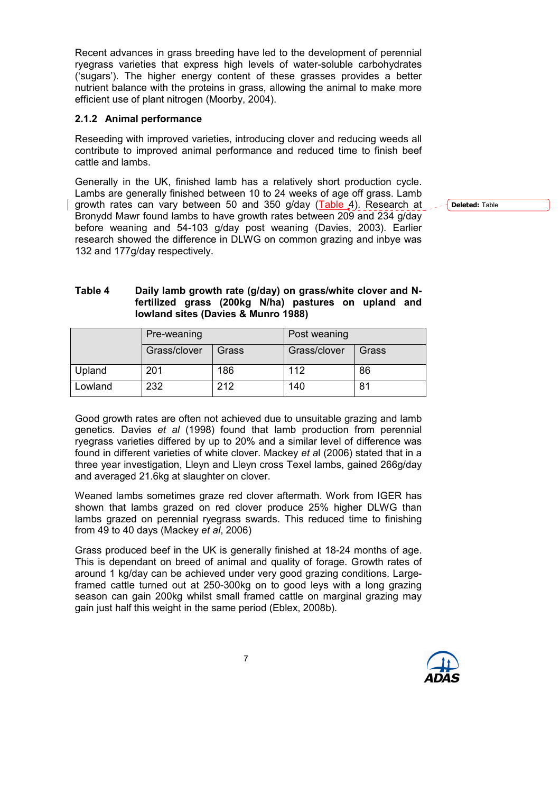Recent advances in grass breeding have led to the development of perennial ryegrass varieties that express high levels of water-soluble carbohydrates ('sugars'). The higher energy content of these grasses provides a better nutrient balance with the proteins in grass, allowing the animal to make more efficient use of plant nitrogen (Moorby, 2004).

#### 2.1.2 Animal performance

Reseeding with improved varieties, introducing clover and reducing weeds all contribute to improved animal performance and reduced time to finish beef cattle and lambs.

Generally in the UK, finished lamb has a relatively short production cycle. Lambs are generally finished between 10 to 24 weeks of age off grass. Lamb growth rates can vary between 50 and 350 g/day (Table 4). Research at Bronydd Mawr found lambs to have growth rates between 209 and 234 g/day before weaning and 54-103 g/day post weaning (Davies, 2003). Earlier research showed the difference in DLWG on common grazing and inbye was 132 and 177g/day respectively.

Table 4 Daily lamb growth rate (g/day) on grass/white clover and Nfertilized grass (200kg N/ha) pastures on upland and lowland sites (Davies & Munro 1988)

|         | Pre-weaning  |       | Post weaning |       |  |
|---------|--------------|-------|--------------|-------|--|
|         | Grass/clover | Grass | Grass/clover | Grass |  |
| Upland  | 201          | 186   | 112          | 86    |  |
| Lowland | 232          | 212   | 140          | 81    |  |

Good growth rates are often not achieved due to unsuitable grazing and lamb genetics. Davies et al (1998) found that lamb production from perennial ryegrass varieties differed by up to 20% and a similar level of difference was found in different varieties of white clover. Mackey et al (2006) stated that in a three year investigation, Lleyn and Lleyn cross Texel lambs, gained 266g/day and averaged 21.6kg at slaughter on clover.

Weaned lambs sometimes graze red clover aftermath. Work from IGER has shown that lambs grazed on red clover produce 25% higher DLWG than lambs grazed on perennial ryegrass swards. This reduced time to finishing from 49 to 40 days (Mackey et al, 2006)

Grass produced beef in the UK is generally finished at 18-24 months of age. This is dependant on breed of animal and quality of forage. Growth rates of around 1 kg/day can be achieved under very good grazing conditions. Largeframed cattle turned out at 250-300kg on to good leys with a long grazing season can gain 200kg whilst small framed cattle on marginal grazing may gain just half this weight in the same period (Eblex, 2008b).



Deleted: Table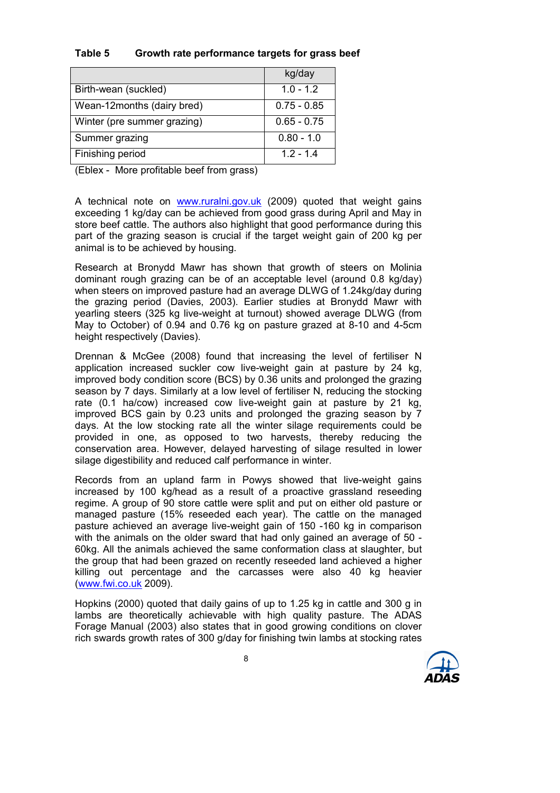### Table 5 Growth rate performance targets for grass beef

|                             | kg/day        |
|-----------------------------|---------------|
| Birth-wean (suckled)        | $1.0 - 1.2$   |
| Wean-12months (dairy bred)  | $0.75 - 0.85$ |
| Winter (pre summer grazing) | $0.65 - 0.75$ |
| Summer grazing              | $0.80 - 1.0$  |
| Finishing period            | $1.2 - 1.4$   |

(Eblex - More profitable beef from grass)

A technical note on www.ruralni.gov.uk (2009) quoted that weight gains exceeding 1 kg/day can be achieved from good grass during April and May in store beef cattle. The authors also highlight that good performance during this part of the grazing season is crucial if the target weight gain of 200 kg per animal is to be achieved by housing.

Research at Bronydd Mawr has shown that growth of steers on Molinia dominant rough grazing can be of an acceptable level (around 0.8 kg/day) when steers on improved pasture had an average DLWG of 1.24kg/day during the grazing period (Davies, 2003). Earlier studies at Bronydd Mawr with yearling steers (325 kg live-weight at turnout) showed average DLWG (from May to October) of 0.94 and 0.76 kg on pasture grazed at 8-10 and 4-5cm height respectively (Davies).

Drennan & McGee (2008) found that increasing the level of fertiliser N application increased suckler cow live-weight gain at pasture by 24 kg, improved body condition score (BCS) by 0.36 units and prolonged the grazing season by 7 days. Similarly at a low level of fertiliser N, reducing the stocking rate (0.1 ha/cow) increased cow live-weight gain at pasture by 21 kg, improved BCS gain by 0.23 units and prolonged the grazing season by 7 days. At the low stocking rate all the winter silage requirements could be provided in one, as opposed to two harvests, thereby reducing the conservation area. However, delayed harvesting of silage resulted in lower silage digestibility and reduced calf performance in winter.

Records from an upland farm in Powys showed that live-weight gains increased by 100 kg/head as a result of a proactive grassland reseeding regime. A group of 90 store cattle were split and put on either old pasture or managed pasture (15% reseeded each year). The cattle on the managed pasture achieved an average live-weight gain of 150 -160 kg in comparison with the animals on the older sward that had only gained an average of 50 - 60kg. All the animals achieved the same conformation class at slaughter, but the group that had been grazed on recently reseeded land achieved a higher killing out percentage and the carcasses were also 40 kg heavier (www.fwi.co.uk 2009).

Hopkins (2000) quoted that daily gains of up to 1.25 kg in cattle and 300 g in lambs are theoretically achievable with high quality pasture. The ADAS Forage Manual (2003) also states that in good growing conditions on clover rich swards growth rates of 300 g/day for finishing twin lambs at stocking rates

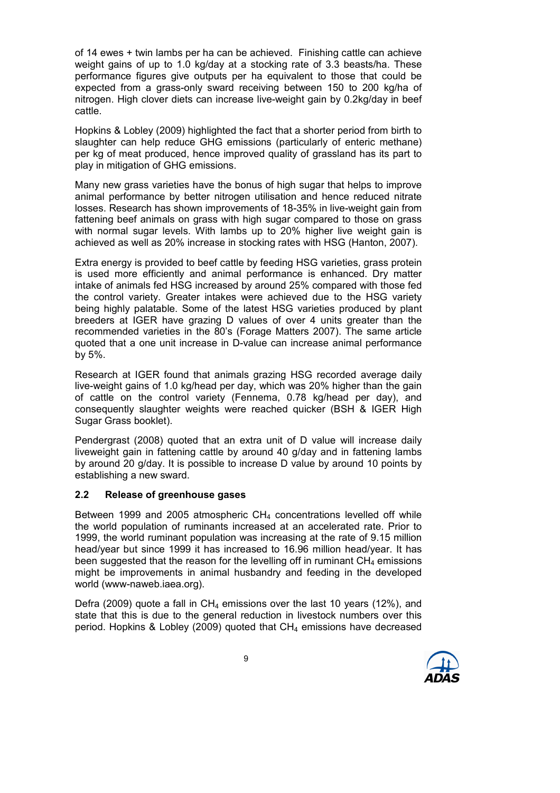of 14 ewes + twin lambs per ha can be achieved. Finishing cattle can achieve weight gains of up to 1.0 kg/day at a stocking rate of 3.3 beasts/ha. These performance figures give outputs per ha equivalent to those that could be expected from a grass-only sward receiving between 150 to 200 kg/ha of nitrogen. High clover diets can increase live-weight gain by 0.2kg/day in beef cattle.

Hopkins & Lobley (2009) highlighted the fact that a shorter period from birth to slaughter can help reduce GHG emissions (particularly of enteric methane) per kg of meat produced, hence improved quality of grassland has its part to play in mitigation of GHG emissions.

Many new grass varieties have the bonus of high sugar that helps to improve animal performance by better nitrogen utilisation and hence reduced nitrate losses. Research has shown improvements of 18-35% in live-weight gain from fattening beef animals on grass with high sugar compared to those on grass with normal sugar levels. With lambs up to 20% higher live weight gain is achieved as well as 20% increase in stocking rates with HSG (Hanton, 2007).

Extra energy is provided to beef cattle by feeding HSG varieties, grass protein is used more efficiently and animal performance is enhanced. Dry matter intake of animals fed HSG increased by around 25% compared with those fed the control variety. Greater intakes were achieved due to the HSG variety being highly palatable. Some of the latest HSG varieties produced by plant breeders at IGER have grazing D values of over 4 units greater than the recommended varieties in the 80's (Forage Matters 2007). The same article quoted that a one unit increase in D-value can increase animal performance by 5%.

Research at IGER found that animals grazing HSG recorded average daily live-weight gains of 1.0 kg/head per day, which was 20% higher than the gain of cattle on the control variety (Fennema, 0.78 kg/head per day), and consequently slaughter weights were reached quicker (BSH & IGER High Sugar Grass booklet).

Pendergrast (2008) quoted that an extra unit of D value will increase daily liveweight gain in fattening cattle by around 40 g/day and in fattening lambs by around 20 g/day. It is possible to increase D value by around 10 points by establishing a new sward.

#### 2.2 Release of greenhouse gases

Between 1999 and 2005 atmospheric CH4 concentrations levelled off while the world population of ruminants increased at an accelerated rate. Prior to 1999, the world ruminant population was increasing at the rate of 9.15 million head/year but since 1999 it has increased to 16.96 million head/year. It has been suggested that the reason for the levelling off in ruminant  $CH<sub>4</sub>$  emissions might be improvements in animal husbandry and feeding in the developed world (www-naweb.iaea.org).

Defra (2009) quote a fall in  $CH_4$  emissions over the last 10 years (12%), and state that this is due to the general reduction in livestock numbers over this period. Hopkins & Lobley (2009) quoted that  $CH_4$  emissions have decreased

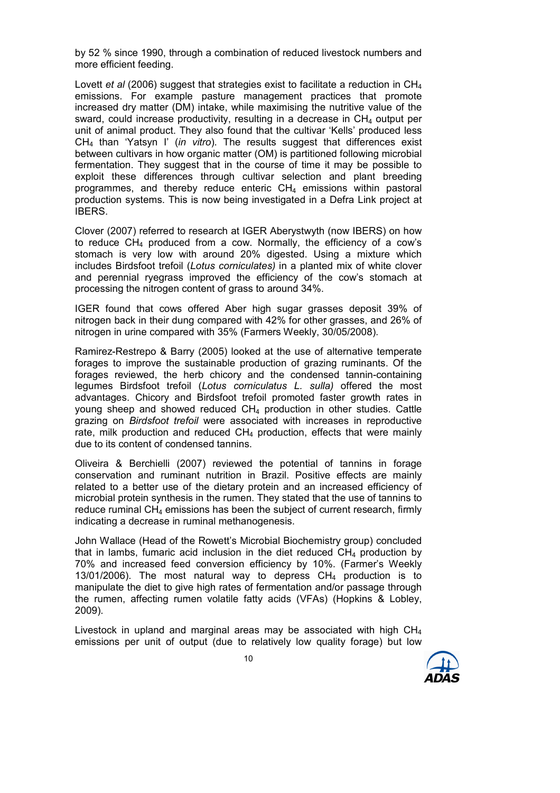by 52 % since 1990, through a combination of reduced livestock numbers and more efficient feeding.

Lovett et al (2006) suggest that strategies exist to facilitate a reduction in  $CH_4$ emissions. For example pasture management practices that promote increased dry matter (DM) intake, while maximising the nutritive value of the sward, could increase productivity, resulting in a decrease in  $CH<sub>4</sub>$  output per unit of animal product. They also found that the cultivar 'Kells' produced less  $CH<sub>4</sub>$  than 'Yatsyn I' (in vitro). The results suggest that differences exist between cultivars in how organic matter (OM) is partitioned following microbial fermentation. They suggest that in the course of time it may be possible to exploit these differences through cultivar selection and plant breeding programmes, and thereby reduce enteric CH4 emissions within pastoral production systems. This is now being investigated in a Defra Link project at IBERS.

Clover (2007) referred to research at IGER Aberystwyth (now IBERS) on how to reduce  $CH_4$  produced from a cow. Normally, the efficiency of a cow's stomach is very low with around 20% digested. Using a mixture which includes Birdsfoot trefoil (Lotus corniculates) in a planted mix of white clover and perennial ryegrass improved the efficiency of the cow's stomach at processing the nitrogen content of grass to around 34%.

IGER found that cows offered Aber high sugar grasses deposit 39% of nitrogen back in their dung compared with 42% for other grasses, and 26% of nitrogen in urine compared with 35% (Farmers Weekly, 30/05/2008).

Ramirez-Restrepo & Barry (2005) looked at the use of alternative temperate forages to improve the sustainable production of grazing ruminants. Of the forages reviewed, the herb chicory and the condensed tannin-containing legumes Birdsfoot trefoil (Lotus corniculatus L. sulla) offered the most advantages. Chicory and Birdsfoot trefoil promoted faster growth rates in young sheep and showed reduced CH4 production in other studies. Cattle grazing on Birdsfoot trefoil were associated with increases in reproductive rate, milk production and reduced  $CH<sub>4</sub>$  production, effects that were mainly due to its content of condensed tannins.

Oliveira & Berchielli (2007) reviewed the potential of tannins in forage conservation and ruminant nutrition in Brazil. Positive effects are mainly related to a better use of the dietary protein and an increased efficiency of microbial protein synthesis in the rumen. They stated that the use of tannins to reduce ruminal CH<sub>4</sub> emissions has been the subject of current research, firmly indicating a decrease in ruminal methanogenesis.

John Wallace (Head of the Rowett's Microbial Biochemistry group) concluded that in lambs, fumaric acid inclusion in the diet reduced  $CH_4$  production by 70% and increased feed conversion efficiency by 10%. (Farmer's Weekly 13/01/2006). The most natural way to depress  $CH<sub>4</sub>$  production is to manipulate the diet to give high rates of fermentation and/or passage through the rumen, affecting rumen volatile fatty acids (VFAs) (Hopkins & Lobley, 2009).

Livestock in upland and marginal areas may be associated with high  $CH<sub>4</sub>$ emissions per unit of output (due to relatively low quality forage) but low

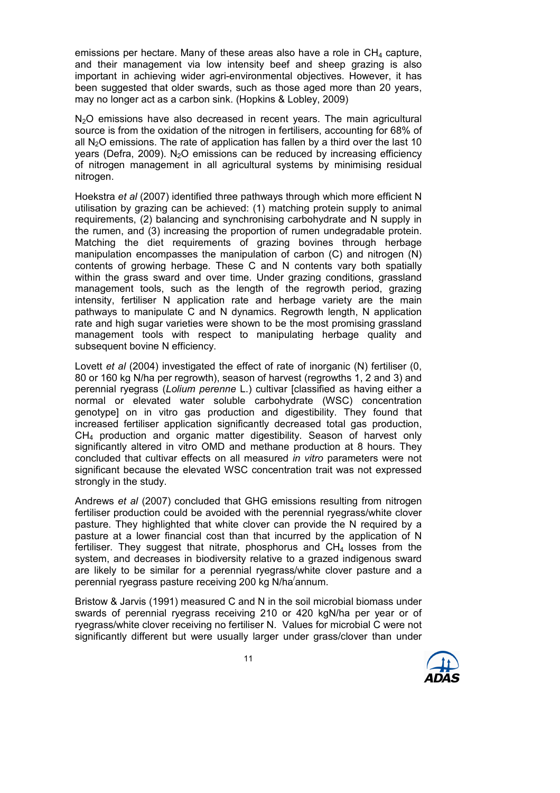emissions per hectare. Many of these areas also have a role in  $CH<sub>4</sub>$  capture, and their management via low intensity beef and sheep grazing is also important in achieving wider agri-environmental objectives. However, it has been suggested that older swards, such as those aged more than 20 years, may no longer act as a carbon sink. (Hopkins & Lobley, 2009)

N<sub>2</sub>O emissions have also decreased in recent years. The main agricultural source is from the oxidation of the nitrogen in fertilisers, accounting for 68% of all  $N<sub>2</sub>O$  emissions. The rate of application has fallen by a third over the last 10 years (Defra, 2009). N<sub>2</sub>O emissions can be reduced by increasing efficiency of nitrogen management in all agricultural systems by minimising residual nitrogen.

Hoekstra et al (2007) identified three pathways through which more efficient N utilisation by grazing can be achieved: (1) matching protein supply to animal requirements, (2) balancing and synchronising carbohydrate and N supply in the rumen, and (3) increasing the proportion of rumen undegradable protein. Matching the diet requirements of grazing bovines through herbage manipulation encompasses the manipulation of carbon (C) and nitrogen (N) contents of growing herbage. These C and N contents vary both spatially within the grass sward and over time. Under grazing conditions, grassland management tools, such as the length of the regrowth period, grazing intensity, fertiliser N application rate and herbage variety are the main pathways to manipulate C and N dynamics. Regrowth length, N application rate and high sugar varieties were shown to be the most promising grassland management tools with respect to manipulating herbage quality and subsequent bovine N efficiency.

Lovett et al (2004) investigated the effect of rate of inorganic (N) fertiliser (0, 80 or 160 kg N/ha per regrowth), season of harvest (regrowths 1, 2 and 3) and perennial ryegrass (Lolium perenne L.) cultivar [classified as having either a normal or elevated water soluble carbohydrate (WSC) concentration genotype] on in vitro gas production and digestibility. They found that increased fertiliser application significantly decreased total gas production, CH4 production and organic matter digestibility. Season of harvest only significantly altered in vitro OMD and methane production at 8 hours. They concluded that cultivar effects on all measured in vitro parameters were not significant because the elevated WSC concentration trait was not expressed strongly in the study.

Andrews et al (2007) concluded that GHG emissions resulting from nitrogen fertiliser production could be avoided with the perennial ryegrass/white clover pasture. They highlighted that white clover can provide the N required by a pasture at a lower financial cost than that incurred by the application of N fertiliser. They suggest that nitrate, phosphorus and  $CH<sub>4</sub>$  losses from the system, and decreases in biodiversity relative to a grazed indigenous sward are likely to be similar for a perennial ryegrass/white clover pasture and a perennial ryegrass pasture receiving 200 kg N/ha/ annum.

Bristow & Jarvis (1991) measured C and N in the soil microbial biomass under swards of perennial ryegrass receiving 210 or 420 kgN/ha per year or of ryegrass/white clover receiving no fertiliser N. Values for microbial C were not significantly different but were usually larger under grass/clover than under

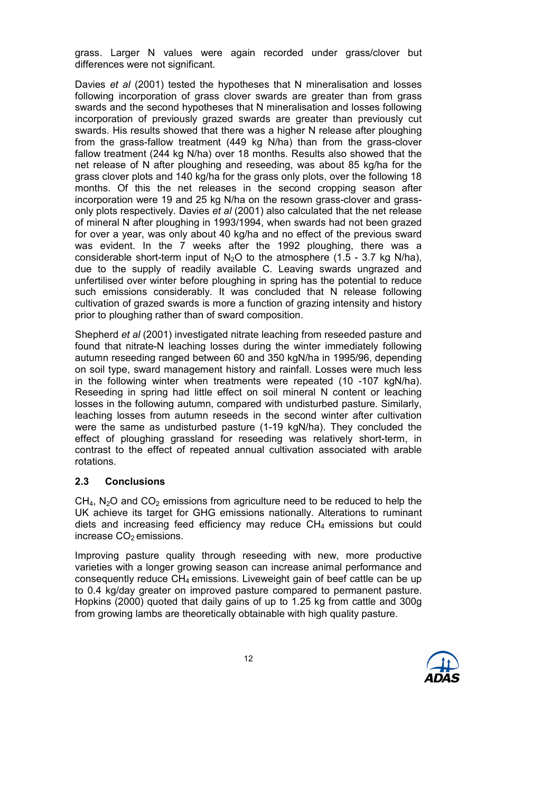grass. Larger N values were again recorded under grass/clover but differences were not significant.

Davies et al (2001) tested the hypotheses that N mineralisation and losses following incorporation of grass clover swards are greater than from grass swards and the second hypotheses that N mineralisation and losses following incorporation of previously grazed swards are greater than previously cut swards. His results showed that there was a higher N release after ploughing from the grass-fallow treatment (449 kg N/ha) than from the grass-clover fallow treatment (244 kg N/ha) over 18 months. Results also showed that the net release of N after ploughing and reseeding, was about 85 kg/ha for the grass clover plots and 140 kg/ha for the grass only plots, over the following 18 months. Of this the net releases in the second cropping season after incorporation were 19 and 25 kg N/ha on the resown grass-clover and grassonly plots respectively. Davies et al (2001) also calculated that the net release of mineral N after ploughing in 1993/1994, when swards had not been grazed for over a year, was only about 40 kg/ha and no effect of the previous sward was evident. In the 7 weeks after the 1992 ploughing, there was a considerable short-term input of  $N_2O$  to the atmosphere (1.5 - 3.7 kg N/ha), due to the supply of readily available C. Leaving swards ungrazed and unfertilised over winter before ploughing in spring has the potential to reduce such emissions considerably. It was concluded that N release following cultivation of grazed swards is more a function of grazing intensity and history prior to ploughing rather than of sward composition.

Shepherd et al (2001) investigated nitrate leaching from reseeded pasture and found that nitrate-N leaching losses during the winter immediately following autumn reseeding ranged between 60 and 350 kgN/ha in 1995/96, depending on soil type, sward management history and rainfall. Losses were much less in the following winter when treatments were repeated (10 -107 kgN/ha). Reseeding in spring had little effect on soil mineral N content or leaching losses in the following autumn, compared with undisturbed pasture. Similarly, leaching losses from autumn reseeds in the second winter after cultivation were the same as undisturbed pasture (1-19 kgN/ha). They concluded the effect of ploughing grassland for reseeding was relatively short-term, in contrast to the effect of repeated annual cultivation associated with arable rotations.

#### 2.3 Conclusions

 $CH<sub>4</sub>$ , N<sub>2</sub>O and CO<sub>2</sub> emissions from agriculture need to be reduced to help the UK achieve its target for GHG emissions nationally. Alterations to ruminant diets and increasing feed efficiency may reduce  $CH<sub>4</sub>$  emissions but could increase  $CO<sub>2</sub>$  emissions.

Improving pasture quality through reseeding with new, more productive varieties with a longer growing season can increase animal performance and consequently reduce  $CH_4$  emissions. Liveweight gain of beef cattle can be up to 0.4 kg/day greater on improved pasture compared to permanent pasture. Hopkins (2000) quoted that daily gains of up to 1.25 kg from cattle and 300g from growing lambs are theoretically obtainable with high quality pasture.

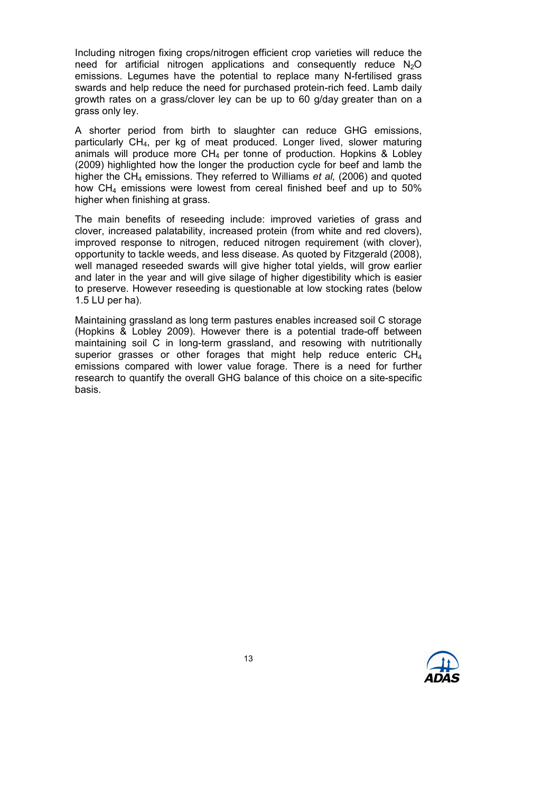Including nitrogen fixing crops/nitrogen efficient crop varieties will reduce the need for artificial nitrogen applications and consequently reduce  $N_2O$ emissions. Legumes have the potential to replace many N-fertilised grass swards and help reduce the need for purchased protein-rich feed. Lamb daily growth rates on a grass/clover ley can be up to 60 g/day greater than on a grass only ley.

A shorter period from birth to slaughter can reduce GHG emissions, particularly CH4, per kg of meat produced. Longer lived, slower maturing animals will produce more  $CH<sub>4</sub>$  per tonne of production. Hopkins & Lobley (2009) highlighted how the longer the production cycle for beef and lamb the higher the  $CH<sub>4</sub>$  emissions. They referred to Williams *et al.* (2006) and quoted how CH<sub>4</sub> emissions were lowest from cereal finished beef and up to 50% higher when finishing at grass.

The main benefits of reseeding include: improved varieties of grass and clover, increased palatability, increased protein (from white and red clovers), improved response to nitrogen, reduced nitrogen requirement (with clover), opportunity to tackle weeds, and less disease. As quoted by Fitzgerald (2008), well managed reseeded swards will give higher total yields, will grow earlier and later in the year and will give silage of higher digestibility which is easier to preserve. However reseeding is questionable at low stocking rates (below 1.5 LU per ha).

Maintaining grassland as long term pastures enables increased soil C storage (Hopkins & Lobley 2009). However there is a potential trade-off between maintaining soil C in long-term grassland, and resowing with nutritionally superior grasses or other forages that might help reduce enteric CH<sub>4</sub> emissions compared with lower value forage. There is a need for further research to quantify the overall GHG balance of this choice on a site-specific basis.

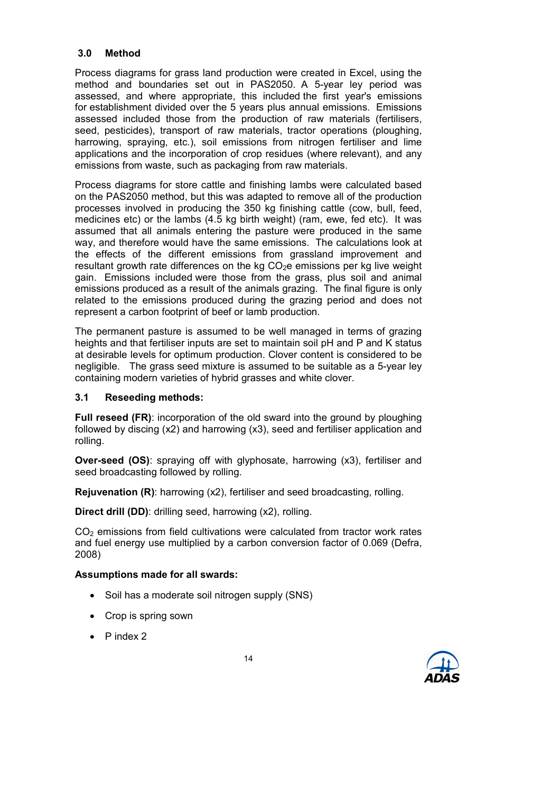### 3.0 Method

Process diagrams for grass land production were created in Excel, using the method and boundaries set out in PAS2050. A 5-year ley period was assessed, and where appropriate, this included the first year's emissions for establishment divided over the 5 years plus annual emissions. Emissions assessed included those from the production of raw materials (fertilisers, seed, pesticides), transport of raw materials, tractor operations (ploughing, harrowing, spraying, etc.), soil emissions from nitrogen fertiliser and lime applications and the incorporation of crop residues (where relevant), and any emissions from waste, such as packaging from raw materials.

Process diagrams for store cattle and finishing lambs were calculated based on the PAS2050 method, but this was adapted to remove all of the production processes involved in producing the 350 kg finishing cattle (cow, bull, feed, medicines etc) or the lambs (4.5 kg birth weight) (ram, ewe, fed etc). It was assumed that all animals entering the pasture were produced in the same way, and therefore would have the same emissions. The calculations look at the effects of the different emissions from grassland improvement and resultant growth rate differences on the kg  $CO<sub>2</sub>e$  emissions per kg live weight gain. Emissions included were those from the grass, plus soil and animal emissions produced as a result of the animals grazing. The final figure is only related to the emissions produced during the grazing period and does not represent a carbon footprint of beef or lamb production.

The permanent pasture is assumed to be well managed in terms of grazing heights and that fertiliser inputs are set to maintain soil pH and P and K status at desirable levels for optimum production. Clover content is considered to be negligible. The grass seed mixture is assumed to be suitable as a 5-year ley containing modern varieties of hybrid grasses and white clover.

#### 3.1 Reseeding methods:

Full reseed (FR): incorporation of the old sward into the ground by ploughing followed by discing (x2) and harrowing (x3), seed and fertiliser application and rolling.

Over-seed (OS): spraying off with glyphosate, harrowing (x3), fertiliser and seed broadcasting followed by rolling.

Rejuvenation (R): harrowing (x2), fertiliser and seed broadcasting, rolling.

Direct drill (DD): drilling seed, harrowing (x2), rolling.

 $CO<sub>2</sub>$  emissions from field cultivations were calculated from tractor work rates and fuel energy use multiplied by a carbon conversion factor of 0.069 (Defra, 2008)

#### Assumptions made for all swards:

- Soil has a moderate soil nitrogen supply (SNS)
- Crop is spring sown
- P index 2

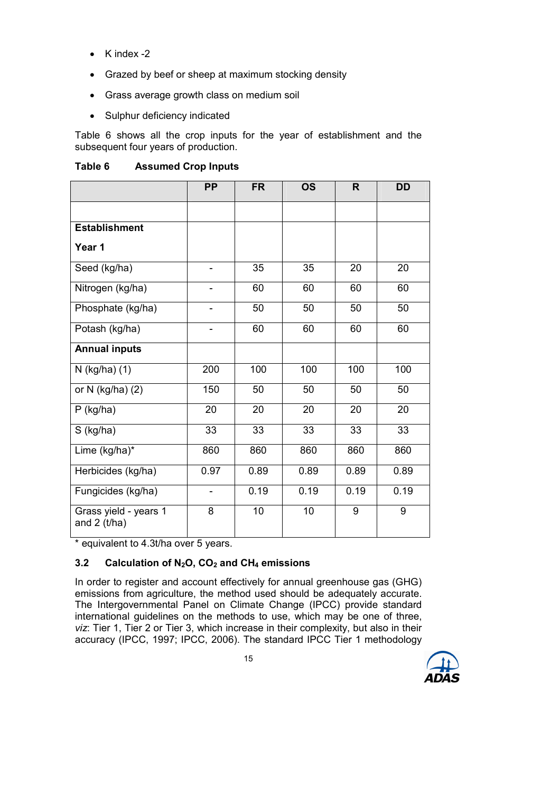- K index -2
- Grazed by beef or sheep at maximum stocking density
- Grass average growth class on medium soil
- Sulphur deficiency indicated

Table 6 shows all the crop inputs for the year of establishment and the subsequent four years of production.

| Table 6 | <b>Assumed Crop Inputs</b> |  |  |
|---------|----------------------------|--|--|
|---------|----------------------------|--|--|

|                                         | <b>PP</b>                | <b>FR</b> | <b>OS</b> | R    | <b>DD</b> |
|-----------------------------------------|--------------------------|-----------|-----------|------|-----------|
|                                         |                          |           |           |      |           |
| <b>Establishment</b>                    |                          |           |           |      |           |
| Year 1                                  |                          |           |           |      |           |
| Seed (kg/ha)                            | $\overline{\phantom{0}}$ | 35        | 35        | 20   | 20        |
| Nitrogen (kg/ha)                        | $\overline{\phantom{0}}$ | 60        | 60        | 60   | 60        |
| Phosphate (kg/ha)                       | $\overline{a}$           | 50        | 50        | 50   | 50        |
| Potash (kg/ha)                          |                          | 60        | 60        | 60   | 60        |
| <b>Annual inputs</b>                    |                          |           |           |      |           |
| N (kg/ha) (1)                           | 200                      | 100       | 100       | 100  | 100       |
| or N (kg/ha) (2)                        | 150                      | 50        | 50        | 50   | 50        |
| $P$ (kg/ha)                             | 20                       | 20        | 20        | 20   | 20        |
| S (kg/ha)                               | 33                       | 33        | 33        | 33   | 33        |
| Lime (kg/ha)*                           | 860                      | 860       | 860       | 860  | 860       |
| Herbicides (kg/ha)                      | 0.97                     | 0.89      | 0.89      | 0.89 | 0.89      |
| Fungicides (kg/ha)                      | $\overline{\phantom{a}}$ | 0.19      | 0.19      | 0.19 | 0.19      |
| Grass yield - years 1<br>and $2$ (t/ha) | 8                        | 10        | 10        | 9    | 9         |

\* equivalent to 4.3t/ha over 5 years.

# 3.2 Calculation of  $N_2O$ ,  $CO_2$  and  $CH_4$  emissions

In order to register and account effectively for annual greenhouse gas (GHG) emissions from agriculture, the method used should be adequately accurate. The Intergovernmental Panel on Climate Change (IPCC) provide standard international guidelines on the methods to use, which may be one of three, viz: Tier 1, Tier 2 or Tier 3, which increase in their complexity, but also in their accuracy (IPCC, 1997; IPCC, 2006). The standard IPCC Tier 1 methodology

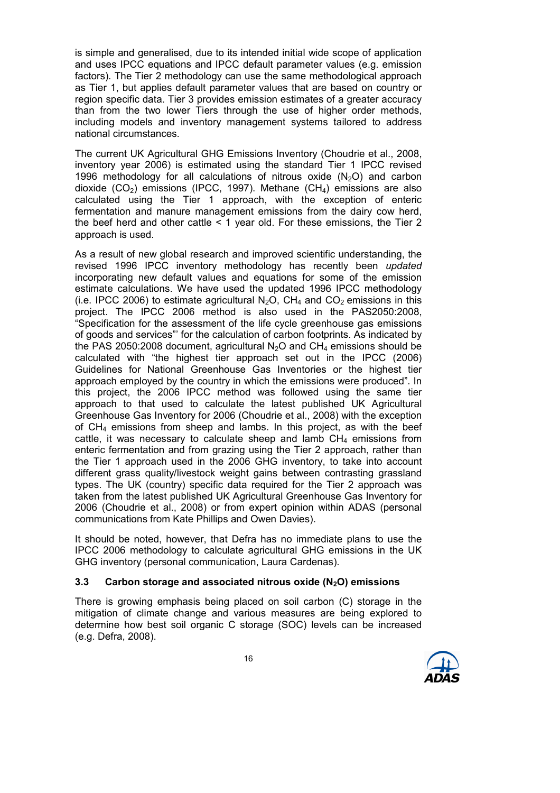is simple and generalised, due to its intended initial wide scope of application and uses IPCC equations and IPCC default parameter values (e.g. emission factors). The Tier 2 methodology can use the same methodological approach as Tier 1, but applies default parameter values that are based on country or region specific data. Tier 3 provides emission estimates of a greater accuracy than from the two lower Tiers through the use of higher order methods, including models and inventory management systems tailored to address national circumstances.

The current UK Agricultural GHG Emissions Inventory (Choudrie et al., 2008, inventory year 2006) is estimated using the standard Tier 1 IPCC revised 1996 methodology for all calculations of nitrous oxide  $(N_2O)$  and carbon dioxide  $(CO<sub>2</sub>)$  emissions (IPCC, 1997). Methane  $(CH<sub>4</sub>)$  emissions are also calculated using the Tier 1 approach, with the exception of enteric fermentation and manure management emissions from the dairy cow herd, the beef herd and other cattle < 1 year old. For these emissions, the Tier 2 approach is used.

As a result of new global research and improved scientific understanding, the revised 1996 IPCC inventory methodology has recently been updated incorporating new default values and equations for some of the emission estimate calculations. We have used the updated 1996 IPCC methodology (i.e. IPCC 2006) to estimate agricultural  $N_2O$ , CH<sub>4</sub> and CO<sub>2</sub> emissions in this project. The IPCC 2006 method is also used in the PAS2050:2008, "Specification for the assessment of the life cycle greenhouse gas emissions of goods and services"' for the calculation of carbon footprints. As indicated by the PAS 2050:2008 document, agricultural  $N_2O$  and CH<sub>4</sub> emissions should be calculated with "the highest tier approach set out in the IPCC (2006) Guidelines for National Greenhouse Gas Inventories or the highest tier approach employed by the country in which the emissions were produced". In this project, the 2006 IPCC method was followed using the same tier approach to that used to calculate the latest published UK Agricultural Greenhouse Gas Inventory for 2006 (Choudrie et al., 2008) with the exception of  $CH_4$  emissions from sheep and lambs. In this project, as with the beef cattle, it was necessary to calculate sheep and lamb  $CH<sub>4</sub>$  emissions from enteric fermentation and from grazing using the Tier 2 approach, rather than the Tier 1 approach used in the 2006 GHG inventory, to take into account different grass quality/livestock weight gains between contrasting grassland types. The UK (country) specific data required for the Tier 2 approach was taken from the latest published UK Agricultural Greenhouse Gas Inventory for 2006 (Choudrie et al., 2008) or from expert opinion within ADAS (personal communications from Kate Phillips and Owen Davies).

It should be noted, however, that Defra has no immediate plans to use the IPCC 2006 methodology to calculate agricultural GHG emissions in the UK GHG inventory (personal communication, Laura Cardenas).

#### 3.3 Carbon storage and associated nitrous oxide  $(N_2O)$  emissions

There is growing emphasis being placed on soil carbon (C) storage in the mitigation of climate change and various measures are being explored to determine how best soil organic C storage (SOC) levels can be increased (e.g. Defra, 2008).

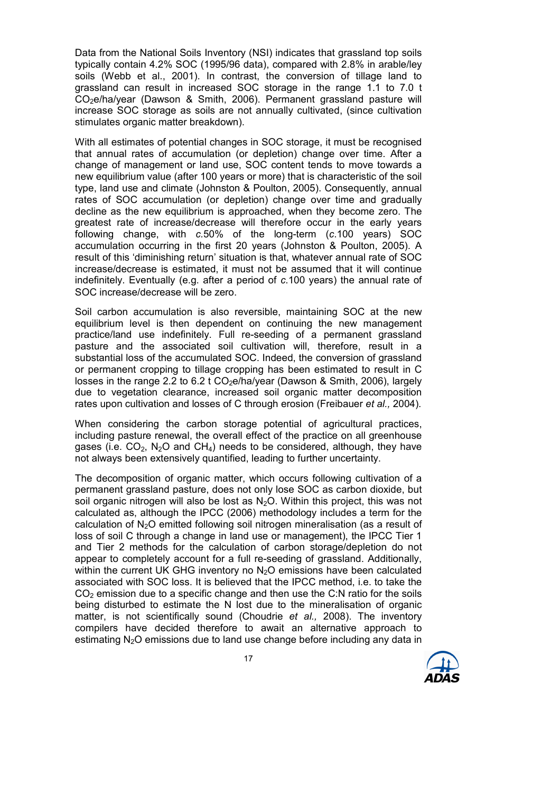Data from the National Soils Inventory (NSI) indicates that grassland top soils typically contain 4.2% SOC (1995/96 data), compared with 2.8% in arable/ley soils (Webb et al., 2001). In contrast, the conversion of tillage land to grassland can result in increased SOC storage in the range 1.1 to 7.0 t CO2e/ha/year (Dawson & Smith, 2006). Permanent grassland pasture will increase SOC storage as soils are not annually cultivated, (since cultivation stimulates organic matter breakdown).

With all estimates of potential changes in SOC storage, it must be recognised that annual rates of accumulation (or depletion) change over time. After a change of management or land use, SOC content tends to move towards a new equilibrium value (after 100 years or more) that is characteristic of the soil type, land use and climate (Johnston & Poulton, 2005). Consequently, annual rates of SOC accumulation (or depletion) change over time and gradually decline as the new equilibrium is approached, when they become zero. The greatest rate of increase/decrease will therefore occur in the early years following change, with c.50% of the long-term (c.100 years) SOC accumulation occurring in the first 20 years (Johnston & Poulton, 2005). A result of this 'diminishing return' situation is that, whatever annual rate of SOC increase/decrease is estimated, it must not be assumed that it will continue indefinitely. Eventually (e.g. after a period of c.100 years) the annual rate of SOC increase/decrease will be zero.

Soil carbon accumulation is also reversible, maintaining SOC at the new equilibrium level is then dependent on continuing the new management practice/land use indefinitely. Full re-seeding of a permanent grassland pasture and the associated soil cultivation will, therefore, result in a substantial loss of the accumulated SOC. Indeed, the conversion of grassland or permanent cropping to tillage cropping has been estimated to result in C losses in the range 2.2 to 6.2 t  $CO<sub>2</sub>e/ha/year$  (Dawson & Smith, 2006), largely due to vegetation clearance, increased soil organic matter decomposition rates upon cultivation and losses of C through erosion (Freibauer et al., 2004).

When considering the carbon storage potential of agricultural practices, including pasture renewal, the overall effect of the practice on all greenhouse gases (i.e.  $CO_2$ , N<sub>2</sub>O and CH<sub>4</sub>) needs to be considered, although, they have not always been extensively quantified, leading to further uncertainty.

The decomposition of organic matter, which occurs following cultivation of a permanent grassland pasture, does not only lose SOC as carbon dioxide, but soil organic nitrogen will also be lost as  $N<sub>2</sub>O$ . Within this project, this was not calculated as, although the IPCC (2006) methodology includes a term for the calculation of  $N<sub>2</sub>O$  emitted following soil nitrogen mineralisation (as a result of loss of soil C through a change in land use or management), the IPCC Tier 1 and Tier 2 methods for the calculation of carbon storage/depletion do not appear to completely account for a full re-seeding of grassland. Additionally, within the current UK GHG inventory no  $N<sub>2</sub>O$  emissions have been calculated associated with SOC loss. It is believed that the IPCC method, i.e. to take the CO<sub>2</sub> emission due to a specific change and then use the C:N ratio for the soils being disturbed to estimate the N lost due to the mineralisation of organic matter, is not scientifically sound (Choudrie et al., 2008). The inventory compilers have decided therefore to await an alternative approach to estimating  $N<sub>2</sub>O$  emissions due to land use change before including any data in

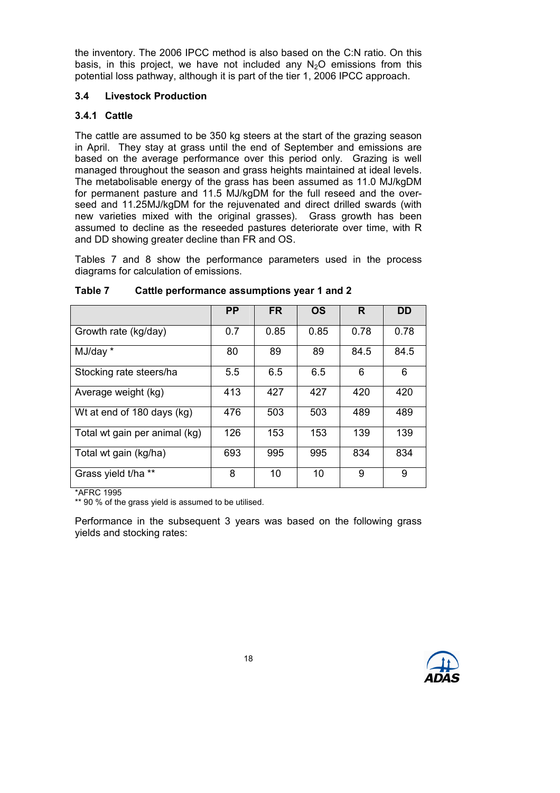the inventory. The 2006 IPCC method is also based on the C:N ratio. On this basis, in this project, we have not included any  $N_2O$  emissions from this potential loss pathway, although it is part of the tier 1, 2006 IPCC approach.

### 3.4 Livestock Production

# 3.4.1 Cattle

The cattle are assumed to be 350 kg steers at the start of the grazing season in April. They stay at grass until the end of September and emissions are based on the average performance over this period only. Grazing is well managed throughout the season and grass heights maintained at ideal levels. The metabolisable energy of the grass has been assumed as 11.0 MJ/kgDM for permanent pasture and 11.5 MJ/kgDM for the full reseed and the overseed and 11.25MJ/kgDM for the rejuvenated and direct drilled swards (with new varieties mixed with the original grasses). Grass growth has been assumed to decline as the reseeded pastures deteriorate over time, with R and DD showing greater decline than FR and OS.

Tables 7 and 8 show the performance parameters used in the process diagrams for calculation of emissions.

|                               | <b>PP</b> | <b>FR</b> | <b>OS</b> | R.   | DD   |
|-------------------------------|-----------|-----------|-----------|------|------|
| Growth rate (kg/day)          | 0.7       | 0.85      | 0.85      | 0.78 | 0.78 |
| MJ/day *                      | 80        | 89        | 89        | 84.5 | 84.5 |
| Stocking rate steers/ha       | 5.5       | 6.5       | 6.5       | 6    | 6    |
| Average weight (kg)           | 413       | 427       | 427       | 420  | 420  |
| Wt at end of 180 days (kg)    | 476       | 503       | 503       | 489  | 489  |
| Total wt gain per animal (kg) | 126       | 153       | 153       | 139  | 139  |
| Total wt gain (kg/ha)         | 693       | 995       | 995       | 834  | 834  |
| Grass yield t/ha **           | 8         | 10        | 10        | 9    | 9    |

### Table 7 Cattle performance assumptions year 1 and 2

\*AFRC 1995

\*\* 90 % of the grass yield is assumed to be utilised.

Performance in the subsequent 3 years was based on the following grass yields and stocking rates:

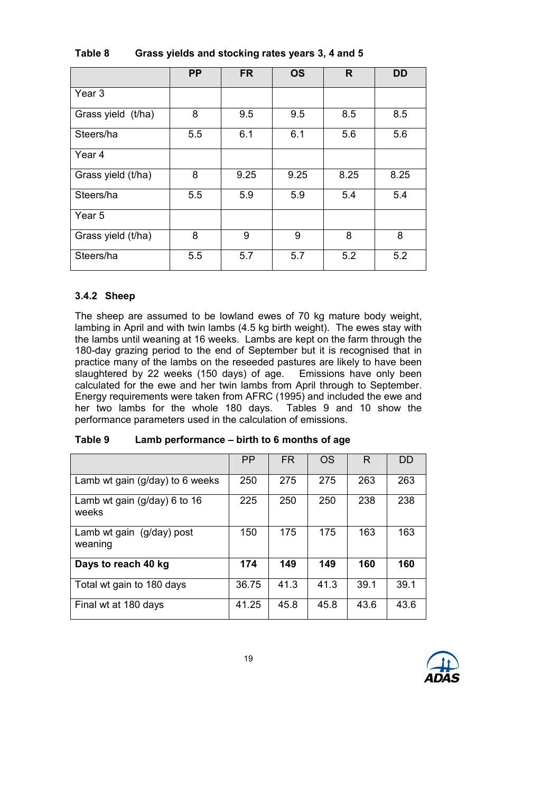|                    | <b>PP</b> | <b>FR</b> | <b>OS</b> | R    | <b>DD</b> |
|--------------------|-----------|-----------|-----------|------|-----------|
| Year 3             |           |           |           |      |           |
| Grass yield (t/ha) | 8         | 9.5       | 9.5       | 8.5  | 8.5       |
| Steers/ha          | 5.5       | 6.1       | 6.1       | 5.6  | 5.6       |
| Year <sub>4</sub>  |           |           |           |      |           |
| Grass yield (t/ha) | 8         | 9.25      | 9.25      | 8.25 | 8.25      |
| Steers/ha          | 5.5       | 5.9       | 5.9       | 5.4  | 5.4       |
| Year 5             |           |           |           |      |           |
| Grass yield (t/ha) | 8         | 9         | 9         | 8    | 8         |
| Steers/ha          | 5.5       | 5.7       | 5.7       | 5.2  | 5.2       |

# Table 8 Grass yields and stocking rates years 3, 4 and 5

#### 3.4.2 Sheep

The sheep are assumed to be lowland ewes of 70 kg mature body weight, lambing in April and with twin lambs (4.5 kg birth weight). The ewes stay with the lambs until weaning at 16 weeks. Lambs are kept on the farm through the 180-day grazing period to the end of September but it is recognised that in practice many of the lambs on the reseeded pastures are likely to have been slaughtered by 22 weeks (150 days) of age. Emissions have only been calculated for the ewe and her twin lambs from April through to September. Energy requirements were taken from AFRC (1995) and included the ewe and her two lambs for the whole 180 days. Tables 9 and 10 show the performance parameters used in the calculation of emissions.

|                                           | <b>PP</b> | FR.  | OS   | R    | DD   |
|-------------------------------------------|-----------|------|------|------|------|
| Lamb wt gain (g/day) to 6 weeks           | 250       | 275  | 275  | 263  | 263  |
| Lamb wt gain ( $g$ /day) 6 to 16<br>weeks | 225       | 250  | 250  | 238  | 238  |
| Lamb wt gain (g/day) post<br>weaning      | 150       | 175  | 175  | 163  | 163  |
| Days to reach 40 kg                       | 174       | 149  | 149  | 160  | 160  |
| Total wt gain to 180 days                 | 36.75     | 41.3 | 41.3 | 39.1 | 39.1 |
| Final wt at 180 days                      | 41.25     | 45.8 | 45.8 | 43.6 | 43.6 |

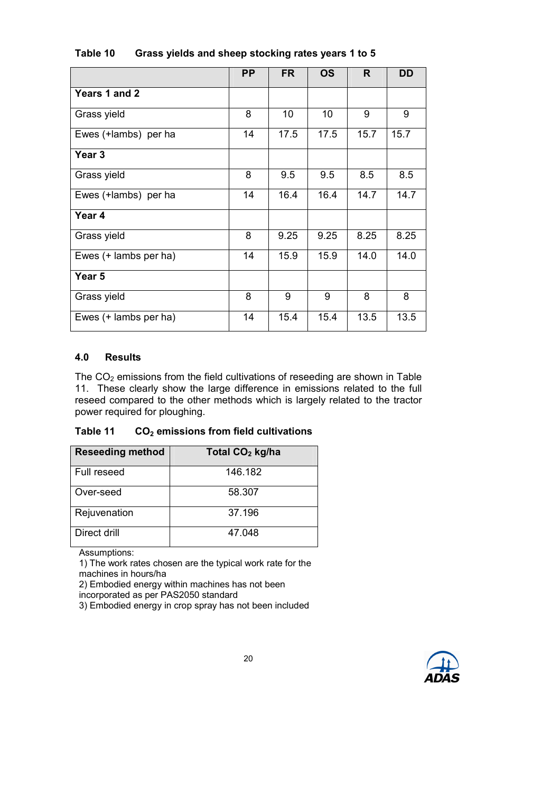|                       | <b>PP</b> | <b>FR</b> | <b>OS</b> | R    | <b>DD</b> |
|-----------------------|-----------|-----------|-----------|------|-----------|
| Years 1 and 2         |           |           |           |      |           |
| Grass yield           | 8         | 10        | 10        | 9    | 9         |
| Ewes (+lambs) per ha  | 14        | 17.5      | 17.5      | 15.7 | 15.7      |
| Year <sub>3</sub>     |           |           |           |      |           |
| Grass yield           | 8         | 9.5       | 9.5       | 8.5  | 8.5       |
| Ewes (+lambs) per ha  | 14        | 16.4      | 16.4      | 14.7 | 14.7      |
| Year 4                |           |           |           |      |           |
| Grass yield           | 8         | 9.25      | 9.25      | 8.25 | 8.25      |
| Ewes (+ lambs per ha) | 14        | 15.9      | 15.9      | 14.0 | 14.0      |
| Year 5                |           |           |           |      |           |
| Grass yield           | 8         | 9         | 9         | 8    | 8         |
| Ewes (+ lambs per ha) | 14        | 15.4      | 15.4      | 13.5 | 13.5      |

# Table 10 Grass yields and sheep stocking rates years 1 to 5

### 4.0 Results

The  $CO<sub>2</sub>$  emissions from the field cultivations of reseeding are shown in Table 11. These clearly show the large difference in emissions related to the full reseed compared to the other methods which is largely related to the tractor power required for ploughing.

#### Table 11  $CO<sub>2</sub>$  emissions from field cultivations

| <b>Reseeding method</b> | Total CO <sub>2</sub> kg/ha |
|-------------------------|-----------------------------|
| Full reseed             | 146.182                     |
| Over-seed               | 58.307                      |
| Rejuvenation            | 37.196                      |
| Direct drill            | 47.048                      |

Assumptions:

1) The work rates chosen are the typical work rate for the machines in hours/ha

2) Embodied energy within machines has not been

incorporated as per PAS2050 standard

3) Embodied energy in crop spray has not been included

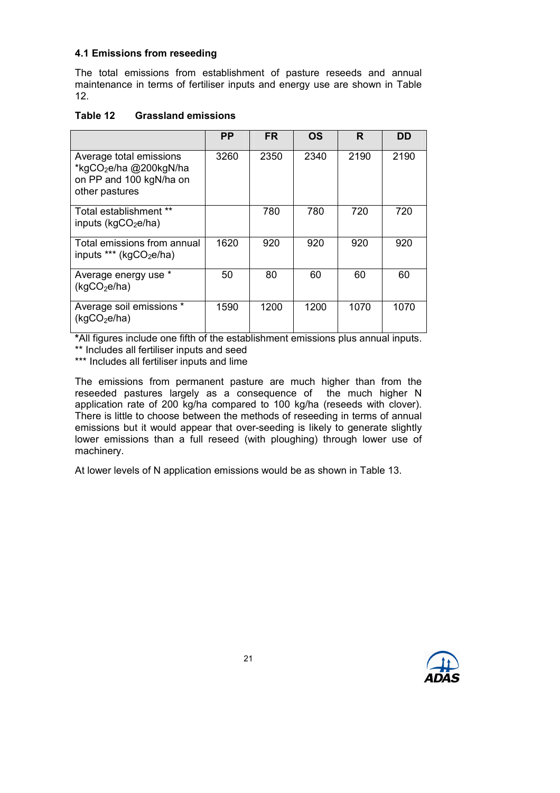# 4.1 Emissions from reseeding

The total emissions from establishment of pasture reseeds and annual maintenance in terms of fertiliser inputs and energy use are shown in Table 12.

# Table 12 Grassland emissions

|                                                                                                            | PP   | <b>FR</b> | OS   | R    | DD   |
|------------------------------------------------------------------------------------------------------------|------|-----------|------|------|------|
| Average total emissions<br>*kgCO <sub>2</sub> e/ha @200kgN/ha<br>on PP and 100 kgN/ha on<br>other pastures | 3260 | 2350      | 2340 | 2190 | 2190 |
| Total establishment **<br>inputs ( $kgCO2e/ha$ )                                                           |      | 780       | 780  | 720  | 720  |
| Total emissions from annual<br>inputs *** (kgCO <sub>2</sub> e/ha)                                         | 1620 | 920       | 920  | 920  | 920  |
| Average energy use *<br>(kgCO <sub>2</sub> e/ha)                                                           | 50   | 80        | 60   | 60   | 60   |
| Average soil emissions *<br>(kqCO <sub>2</sub> e/ha)                                                       | 1590 | 1200      | 1200 | 1070 | 1070 |

\*All figures include one fifth of the establishment emissions plus annual inputs.

\*\* Includes all fertiliser inputs and seed

\*\*\* Includes all fertiliser inputs and lime

The emissions from permanent pasture are much higher than from the reseeded pastures largely as a consequence of the much higher N application rate of 200 kg/ha compared to 100 kg/ha (reseeds with clover). There is little to choose between the methods of reseeding in terms of annual emissions but it would appear that over-seeding is likely to generate slightly lower emissions than a full reseed (with ploughing) through lower use of machinery.

At lower levels of N application emissions would be as shown in Table 13.

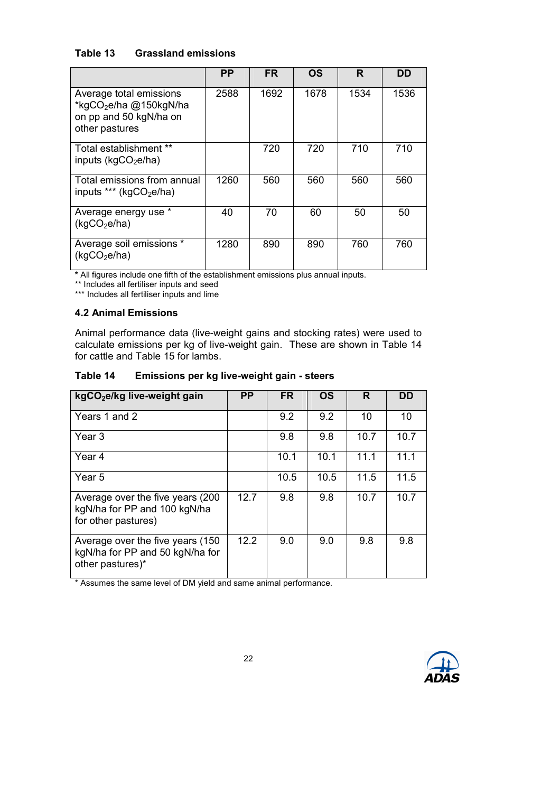# Table 13 Grassland emissions

|                                                                                                           | <b>PP</b> | <b>FR</b> | OS   | R    | DD   |
|-----------------------------------------------------------------------------------------------------------|-----------|-----------|------|------|------|
| Average total emissions<br>*kgCO <sub>2</sub> e/ha @150kgN/ha<br>on pp and 50 kgN/ha on<br>other pastures | 2588      | 1692      | 1678 | 1534 | 1536 |
| Total establishment **<br>inputs ( $kgCO2e/ha$ )                                                          |           | 720       | 720  | 710  | 710  |
| Total emissions from annual<br>inputs *** (kgCO <sub>2</sub> e/ha)                                        | 1260      | 560       | 560  | 560  | 560  |
| Average energy use *<br>(kgCO <sub>2</sub> e/ha)                                                          | 40        | 70        | 60   | 50   | 50   |
| Average soil emissions *<br>(kgCO <sub>2</sub> e/ha)                                                      | 1280      | 890       | 890  | 760  | 760  |

\* All figures include one fifth of the establishment emissions plus annual inputs.

\*\* Includes all fertiliser inputs and seed

\*\*\* Includes all fertiliser inputs and lime

#### 4.2 Animal Emissions

Animal performance data (live-weight gains and stocking rates) were used to calculate emissions per kg of live-weight gain. These are shown in Table 14 for cattle and Table 15 for lambs.

### Table 14 Emissions per kg live-weight gain - steers

| kgCO <sub>2</sub> e/kg live-weight gain                                                  | <b>PP</b> | <b>FR</b> | <b>OS</b> | R    | DD   |
|------------------------------------------------------------------------------------------|-----------|-----------|-----------|------|------|
| Years 1 and 2                                                                            |           | 9.2       | 9.2       | 10   | 10   |
| Year <sub>3</sub>                                                                        |           | 9.8       | 9.8       | 10.7 | 10.7 |
| Year 4                                                                                   |           | 10.1      | 10.1      | 11.1 | 11.1 |
| Year 5                                                                                   |           | 10.5      | 10.5      | 11.5 | 11.5 |
| Average over the five years (200)<br>kgN/ha for PP and 100 kgN/ha<br>for other pastures) | 12.7      | 9.8       | 9.8       | 10.7 | 10.7 |
| Average over the five years (150)<br>kgN/ha for PP and 50 kgN/ha for<br>other pastures)* | 12.2      | 9.0       | 9.0       | 9.8  | 9.8  |

\* Assumes the same level of DM yield and same animal performance.

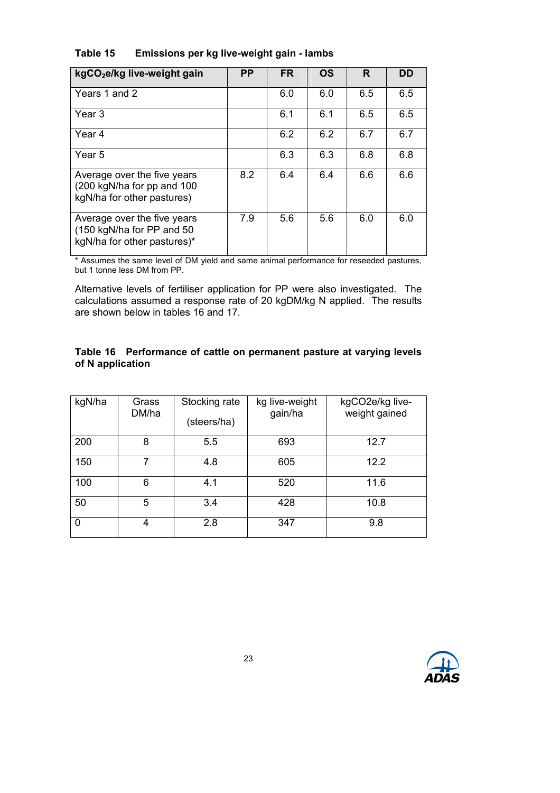| kgCO <sub>2</sub> e/kg live-weight gain                                                  | <b>PP</b> | <b>FR</b> | <b>OS</b> | R   | DD  |
|------------------------------------------------------------------------------------------|-----------|-----------|-----------|-----|-----|
| Years 1 and 2                                                                            |           | 6.0       | 6.0       | 6.5 | 6.5 |
| Year 3                                                                                   |           | 6.1       | 6.1       | 6.5 | 6.5 |
| Year 4                                                                                   |           | 6.2       | 6.2       | 6.7 | 6.7 |
| Year 5                                                                                   |           | 6.3       | 6.3       | 6.8 | 6.8 |
| Average over the five years<br>(200 kgN/ha for pp and 100<br>kgN/ha for other pastures)  | 8.2       | 6.4       | 6.4       | 6.6 | 6.6 |
| Average over the five years<br>(150 kgN/ha for PP and 50)<br>kgN/ha for other pastures)* | 7.9       | 5.6       | 5.6       | 6.0 | 6.0 |

# Table 15 Emissions per kg live-weight gain - lambs

\* Assumes the same level of DM yield and same animal performance for reseeded pastures, but 1 tonne less DM from PP.

Alternative levels of fertiliser application for PP were also investigated. The calculations assumed a response rate of 20 kgDM/kg N applied. The results are shown below in tables 16 and 17.

### Table 16 Performance of cattle on permanent pasture at varying levels of N application

| kgN/ha | Grass<br>DM/ha | Stocking rate<br>(steers/ha) | kg live-weight<br>gain/ha | kgCO2e/kg live-<br>weight gained |
|--------|----------------|------------------------------|---------------------------|----------------------------------|
| 200    | 8              | 5.5                          | 693                       | 12.7                             |
| 150    | 7              | 4.8                          | 605                       | 12.2                             |
| 100    | 6              | 4.1                          | 520                       | 11.6                             |
| 50     | 5              | 3.4                          | 428                       | 10.8                             |
| 0      | 4              | 2.8                          | 347                       | 9.8                              |

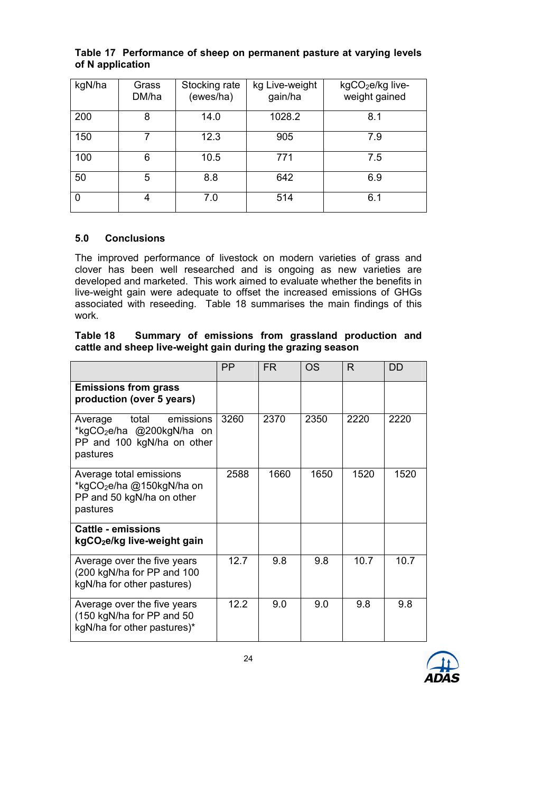|                  | Table 17 Performance of sheep on permanent pasture at varying levels |  |
|------------------|----------------------------------------------------------------------|--|
| of N application |                                                                      |  |

| kgN/ha | Grass<br>DM/ha | Stocking rate<br>(ewes/ha) | kg Live-weight<br>gain/ha | kgCO <sub>2</sub> e/kg live-<br>weight gained |
|--------|----------------|----------------------------|---------------------------|-----------------------------------------------|
| 200    | 8              | 14.0                       | 1028.2                    | 8.1                                           |
| 150    | 7              | 12.3                       | 905                       | 7.9                                           |
| 100    | 6              | 10.5                       | 771                       | 7.5                                           |
| 50     | 5              | 8.8                        | 642                       | 6.9                                           |
| 0      | 4              | 7.0                        | 514                       | 6.1                                           |

### 5.0 Conclusions

The improved performance of livestock on modern varieties of grass and clover has been well researched and is ongoing as new varieties are developed and marketed. This work aimed to evaluate whether the benefits in live-weight gain were adequate to offset the increased emissions of GHGs associated with reseeding. Table 18 summarises the main findings of this work.

| Table 18                                                    |  |  | Summary of emissions from grassland production and |  |
|-------------------------------------------------------------|--|--|----------------------------------------------------|--|
| cattle and sheep live-weight gain during the grazing season |  |  |                                                    |  |

|                                                                                                                  | <b>PP</b> | <b>FR</b> | OS.  | R    | DD   |
|------------------------------------------------------------------------------------------------------------------|-----------|-----------|------|------|------|
| <b>Emissions from grass</b><br>production (over 5 years)                                                         |           |           |      |      |      |
| total<br>emissions<br>Average<br>*kgCO <sub>2</sub> e/ha @200kgN/ha on<br>PP and 100 kgN/ha on other<br>pastures | 3260      | 2370      | 2350 | 2220 | 2220 |
| Average total emissions<br>*kgCO <sub>2</sub> e/ha @150kgN/ha on<br>PP and 50 kgN/ha on other<br>pastures        | 2588      | 1660      | 1650 | 1520 | 1520 |
| <b>Cattle - emissions</b><br>kgCO <sub>2</sub> e/kg live-weight gain                                             |           |           |      |      |      |
| Average over the five years<br>(200 kgN/ha for PP and 100<br>kgN/ha for other pastures)                          | 12.7      | 9.8       | 9.8  | 10.7 | 10.7 |
| Average over the five years<br>(150 kgN/ha for PP and 50<br>kgN/ha for other pastures)*                          | 12.2      | 9.0       | 9.0  | 9.8  | 9.8  |

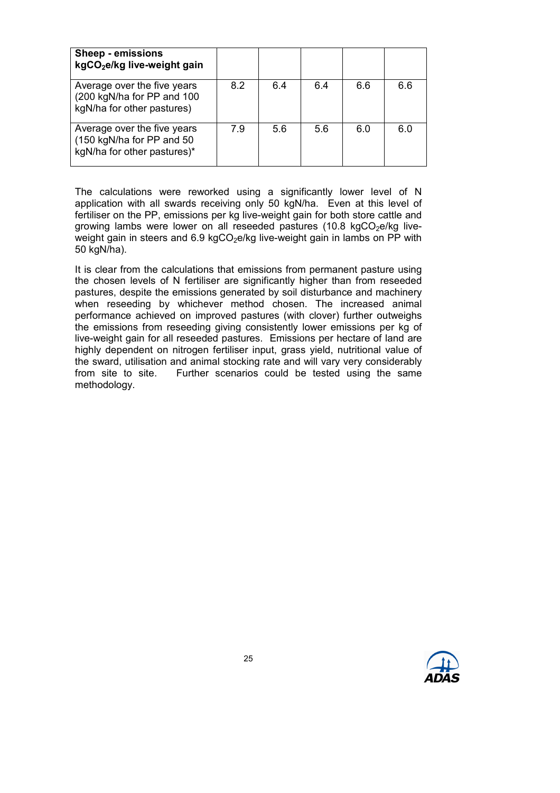| <b>Sheep - emissions</b><br>kgCO <sub>2</sub> e/kg live-weight gain                     |     |     |     |     |     |
|-----------------------------------------------------------------------------------------|-----|-----|-----|-----|-----|
| Average over the five years<br>(200 kgN/ha for PP and 100<br>kgN/ha for other pastures) | 8.2 | 6.4 | 6.4 | 6.6 | 6.6 |
| Average over the five years<br>(150 kgN/ha for PP and 50<br>kgN/ha for other pastures)* | 7.9 | 5.6 | 5.6 | 6.0 | 6.0 |

The calculations were reworked using a significantly lower level of N application with all swards receiving only 50 kgN/ha. Even at this level of fertiliser on the PP, emissions per kg live-weight gain for both store cattle and growing lambs were lower on all reseeded pastures (10.8 kgCO $_2$ e/kg liveweight gain in steers and 6.9 kgCO<sub>2</sub>e/kg live-weight gain in lambs on PP with 50 kgN/ha).

It is clear from the calculations that emissions from permanent pasture using the chosen levels of N fertiliser are significantly higher than from reseeded pastures, despite the emissions generated by soil disturbance and machinery when reseeding by whichever method chosen. The increased animal performance achieved on improved pastures (with clover) further outweighs the emissions from reseeding giving consistently lower emissions per kg of live-weight gain for all reseeded pastures. Emissions per hectare of land are highly dependent on nitrogen fertiliser input, grass yield, nutritional value of the sward, utilisation and animal stocking rate and will vary very considerably from site to site. Further scenarios could be tested using the same methodology.

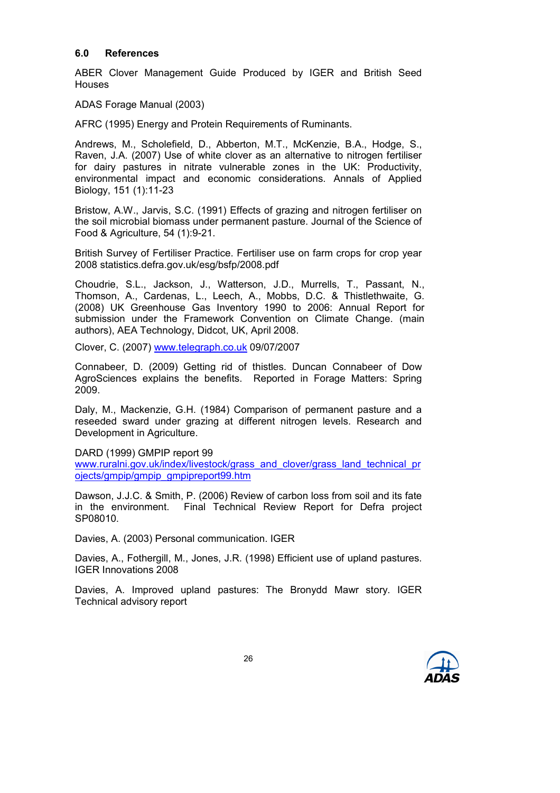#### 6.0 References

ABER Clover Management Guide Produced by IGER and British Seed Houses

ADAS Forage Manual (2003)

AFRC (1995) Energy and Protein Requirements of Ruminants.

Andrews, M., Scholefield, D., Abberton, M.T., McKenzie, B.A., Hodge, S., Raven, J.A. (2007) Use of white clover as an alternative to nitrogen fertiliser for dairy pastures in nitrate vulnerable zones in the UK: Productivity, environmental impact and economic considerations. Annals of Applied Biology, 151 (1):11-23

Bristow, A.W., Jarvis, S.C. (1991) Effects of grazing and nitrogen fertiliser on the soil microbial biomass under permanent pasture. Journal of the Science of Food & Agriculture, 54 (1):9-21.

British Survey of Fertiliser Practice. Fertiliser use on farm crops for crop year 2008 statistics.defra.gov.uk/esg/bsfp/2008.pdf

Choudrie, S.L., Jackson, J., Watterson, J.D., Murrells, T., Passant, N., Thomson, A., Cardenas, L., Leech, A., Mobbs, D.C. & Thistlethwaite, G. (2008) UK Greenhouse Gas Inventory 1990 to 2006: Annual Report for submission under the Framework Convention on Climate Change. (main authors), AEA Technology, Didcot, UK, April 2008.

Clover, C. (2007) www.telegraph.co.uk 09/07/2007

Connabeer, D. (2009) Getting rid of thistles. Duncan Connabeer of Dow AgroSciences explains the benefits. Reported in Forage Matters: Spring 2009.

Daly, M., Mackenzie, G.H. (1984) Comparison of permanent pasture and a reseeded sward under grazing at different nitrogen levels. Research and Development in Agriculture.

DARD (1999) GMPIP report 99

www.ruralni.gov.uk/index/livestock/grass\_and\_clover/grass\_land\_technical\_pr ojects/gmpip/gmpip\_gmpipreport99.htm

Dawson, J.J.C. & Smith, P. (2006) Review of carbon loss from soil and its fate in the environment. Final Technical Review Report for Defra project SP08010.

Davies, A. (2003) Personal communication. IGER

Davies, A., Fothergill, M., Jones, J.R. (1998) Efficient use of upland pastures. IGER Innovations 2008

Davies, A. Improved upland pastures: The Bronydd Mawr story. IGER Technical advisory report

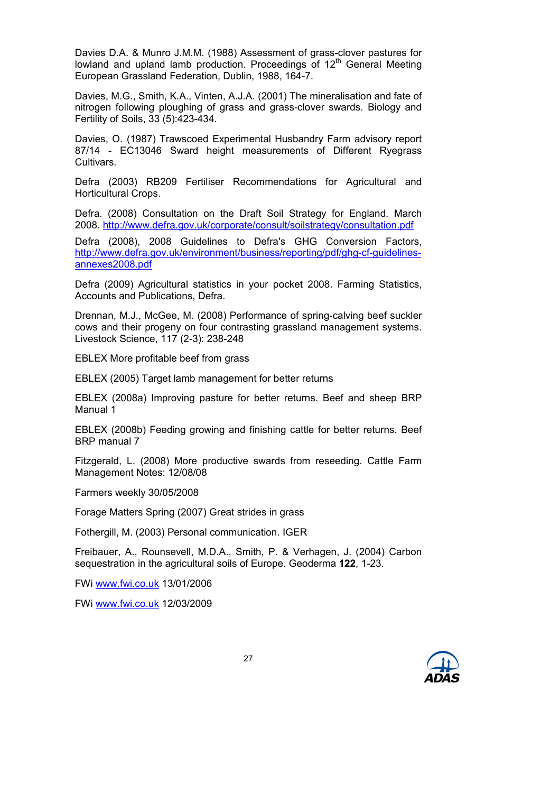Davies D.A. & Munro J.M.M. (1988) Assessment of grass-clover pastures for lowland and upland lamb production. Proceedings of  $12<sup>th</sup>$  General Meeting European Grassland Federation, Dublin, 1988, 164-7.

Davies, M.G., Smith, K.A., Vinten, A.J.A. (2001) The mineralisation and fate of nitrogen following ploughing of grass and grass-clover swards. Biology and Fertility of Soils, 33 (5):423-434.

Davies, O. (1987) Trawscoed Experimental Husbandry Farm advisory report 87/14 - EC13046 Sward height measurements of Different Ryegrass **Cultivars** 

Defra (2003) RB209 Fertiliser Recommendations for Agricultural and Horticultural Crops.

Defra. (2008) Consultation on the Draft Soil Strategy for England. March 2008. http://www.defra.gov.uk/corporate/consult/soilstrategy/consultation.pdf

Defra (2008), 2008 Guidelines to Defra's GHG Conversion Factors, http://www.defra.gov.uk/environment/business/reporting/pdf/ghg-cf-guidelinesannexes2008.pdf

Defra (2009) Agricultural statistics in your pocket 2008. Farming Statistics, Accounts and Publications, Defra.

Drennan, M.J., McGee, M. (2008) Performance of spring-calving beef suckler cows and their progeny on four contrasting grassland management systems. Livestock Science, 117 (2-3): 238-248

EBLEX More profitable beef from grass

EBLEX (2005) Target lamb management for better returns

EBLEX (2008a) Improving pasture for better returns. Beef and sheep BRP Manual 1

EBLEX (2008b) Feeding growing and finishing cattle for better returns. Beef BRP manual 7

Fitzgerald, L. (2008) More productive swards from reseeding. Cattle Farm Management Notes: 12/08/08

Farmers weekly 30/05/2008

Forage Matters Spring (2007) Great strides in grass

Fothergill, M. (2003) Personal communication. IGER

Freibauer, A., Rounsevell, M.D.A., Smith, P. & Verhagen, J. (2004) Carbon sequestration in the agricultural soils of Europe. Geoderma 122, 1-23.

FWi www.fwi.co.uk 13/01/2006

FWi www.fwi.co.uk 12/03/2009

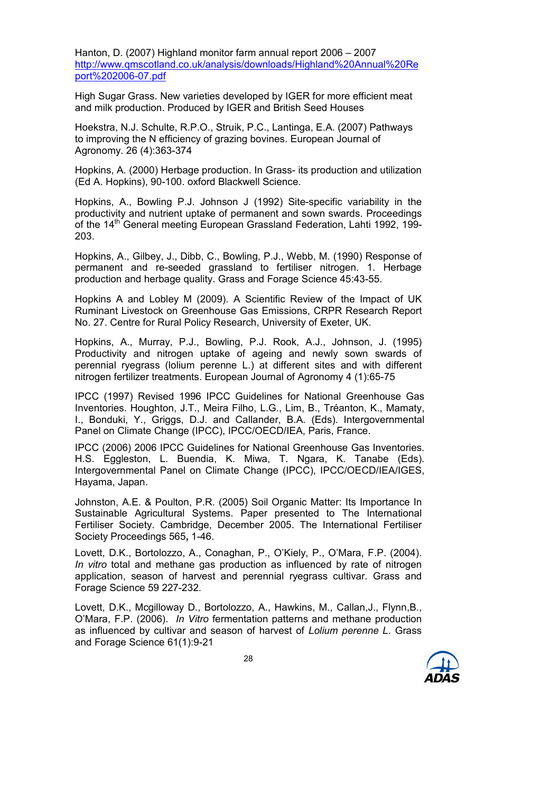Hanton, D. (2007) Highland monitor farm annual report 2006 – 2007 http://www.qmscotland.co.uk/analysis/downloads/Highland%20Annual%20Re port%202006-07.pdf

High Sugar Grass. New varieties developed by IGER for more efficient meat and milk production. Produced by IGER and British Seed Houses

Hoekstra, N.J. Schulte, R.P.O., Struik, P.C., Lantinga, E.A. (2007) Pathways to improving the N efficiency of grazing bovines. European Journal of Agronomy. 26 (4):363-374

Hopkins, A. (2000) Herbage production. In Grass- its production and utilization (Ed A. Hopkins), 90-100. oxford Blackwell Science.

Hopkins, A., Bowling P.J. Johnson J (1992) Site-specific variability in the productivity and nutrient uptake of permanent and sown swards. Proceedings of the 14<sup>th</sup> General meeting European Grassland Federation, Lahti 1992, 199-203.

Hopkins, A., Gilbey, J., Dibb, C., Bowling, P.J., Webb, M. (1990) Response of permanent and re-seeded grassland to fertiliser nitrogen. 1. Herbage production and herbage quality. Grass and Forage Science 45:43-55.

Hopkins A and Lobley M (2009). A Scientific Review of the Impact of UK Ruminant Livestock on Greenhouse Gas Emissions, CRPR Research Report No. 27. Centre for Rural Policy Research, University of Exeter, UK.

Hopkins, A., Murray, P.J., Bowling, P.J. Rook, A.J., Johnson, J. (1995) Productivity and nitrogen uptake of ageing and newly sown swards of perennial ryegrass (lolium perenne L.) at different sites and with different nitrogen fertilizer treatments. European Journal of Agronomy 4 (1):65-75

IPCC (1997) Revised 1996 IPCC Guidelines for National Greenhouse Gas Inventories. Houghton, J.T., Meira Filho, L.G., Lim, B., Tréanton, K., Mamaty, I., Bonduki, Y., Griggs, D.J. and Callander, B.A. (Eds). Intergovernmental Panel on Climate Change (IPCC), IPCC/OECD/IEA, Paris, France.

IPCC (2006) 2006 IPCC Guidelines for National Greenhouse Gas Inventories. H.S. Eggleston, L. Buendia, K. Miwa, T. Ngara, K. Tanabe (Eds). Intergovernmental Panel on Climate Change (IPCC), IPCC/OECD/IEA/IGES, Hayama, Japan.

Johnston, A.E. & Poulton, P.R. (2005) Soil Organic Matter: Its Importance In Sustainable Agricultural Systems. Paper presented to The International Fertiliser Society. Cambridge, December 2005. The International Fertiliser Society Proceedings 565, 1-46.

Lovett, D.K., Bortolozzo, A., Conaghan, P., O'Kiely, P., O'Mara, F.P. (2004). In vitro total and methane gas production as influenced by rate of nitrogen application, season of harvest and perennial ryegrass cultivar. Grass and Forage Science 59 227-232.

Lovett, D.K., Mcgilloway D., Bortolozzo, A., Hawkins, M., Callan,J., Flynn,B., O'Mara, F.P. (2006). In Vitro fermentation patterns and methane production as influenced by cultivar and season of harvest of Lolium perenne L. Grass and Forage Science 61(1):9-21